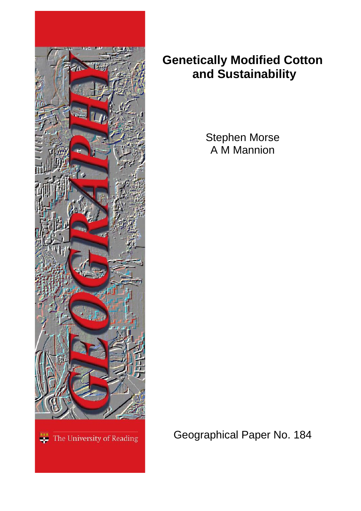

## **Genetically Modified Cotton and Sustainability**

Stephen Morse A M Mannion

Geographical Paper No. 184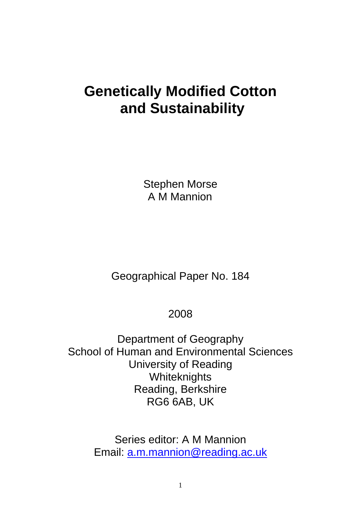# **Genetically Modified Cotton and Sustainability**

Stephen Morse A M Mannion

Geographical Paper No. 184

### 2008

Department of Geography School of Human and Environmental Sciences University of Reading **Whiteknights** Reading, Berkshire RG6 6AB, UK

> Series editor: A M Mannion Email: [a.m.mannion@reading.ac.uk](mailto:a.m.mannion@reading.ac.uk)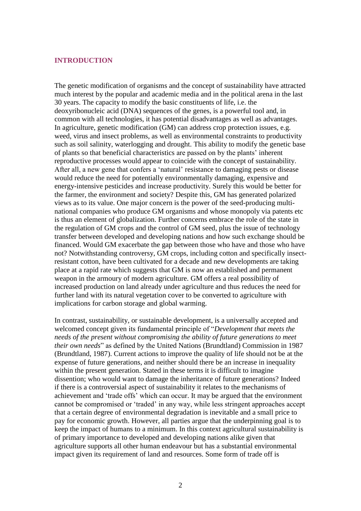#### **INTRODUCTION**

The genetic modification of organisms and the concept of sustainability have attracted much interest by the popular and academic media and in the political arena in the last 30 years. The capacity to modify the basic constituents of life, i.e. the deoxyribonucleic acid (DNA) sequences of the genes, is a powerful tool and, in common with all technologies, it has potential disadvantages as well as advantages. In agriculture, genetic modification (GM) can address crop protection issues, e.g. weed, virus and insect problems, as well as environmental constraints to productivity such as soil salinity, waterlogging and drought. This ability to modify the genetic base of plants so that beneficial characteristics are passed on by the plants" inherent reproductive processes would appear to coincide with the concept of sustainability. After all, a new gene that confers a "natural" resistance to damaging pests or disease would reduce the need for potentially environmentally damaging, expensive and energy-intensive pesticides and increase productivity. Surely this would be better for the farmer, the environment and society? Despite this, GM has generated polarized views as to its value. One major concern is the power of the seed-producing multinational companies who produce GM organisms and whose monopoly via patents etc is thus an element of globalization. Further concerns embrace the role of the state in the regulation of GM crops and the control of GM seed, plus the issue of technology transfer between developed and developing nations and how such exchange should be financed. Would GM exacerbate the gap between those who have and those who have not? Notwithstanding controversy, GM crops, including cotton and specifically insectresistant cotton, have been cultivated for a decade and new developments are taking place at a rapid rate which suggests that GM is now an established and permanent weapon in the armoury of modern agriculture. GM offers a real possibility of increased production on land already under agriculture and thus reduces the need for further land with its natural vegetation cover to be converted to agriculture with implications for carbon storage and global warming.

In contrast, sustainability, or sustainable development, is a universally accepted and welcomed concept given its fundamental principle of "*Development that meets the needs of the present without compromising the ability of future generations to meet their own needs*" as defined by the United Nations (Brundtland) Commission in 1987 (Brundtland, 1987). Current actions to improve the quality of life should not be at the expense of future generations, and neither should there be an increase in inequality within the present generation. Stated in these terms it is difficult to imagine dissention; who would want to damage the inheritance of future generations? Indeed if there is a controversial aspect of sustainability it relates to the mechanisms of achievement and "trade offs" which can occur. It may be argued that the environment cannot be compromised or "traded" in any way, while less stringent approaches accept that a certain degree of environmental degradation is inevitable and a small price to pay for economic growth. However, all parties argue that the underpinning goal is to keep the impact of humans to a minimum. In this context agricultural sustainability is of primary importance to developed and developing nations alike given that agriculture supports all other human endeavour but has a substantial environmental impact given its requirement of land and resources. Some form of trade off is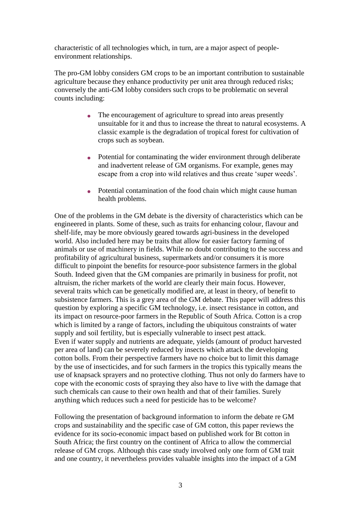characteristic of all technologies which, in turn, are a major aspect of peopleenvironment relationships.

The pro-GM lobby considers GM crops to be an important contribution to sustainable agriculture because they enhance productivity per unit area through reduced risks; conversely the anti-GM lobby considers such crops to be problematic on several counts including:

- The encouragement of agriculture to spread into areas presently unsuitable for it and thus to increase the threat to natural ecosystems. A classic example is the degradation of tropical forest for cultivation of crops such as soybean.
- Potential for contaminating the wider environment through deliberate and inadvertent release of GM organisms. For example, genes may escape from a crop into wild relatives and thus create "super weeds".
- Potential contamination of the food chain which might cause human health problems.

One of the problems in the GM debate is the diversity of characteristics which can be engineered in plants. Some of these, such as traits for enhancing colour, flavour and shelf-life, may be more obviously geared towards agri-business in the developed world. Also included here may be traits that allow for easier factory farming of animals or use of machinery in fields. While no doubt contributing to the success and profitability of agricultural business, supermarkets and/or consumers it is more difficult to pinpoint the benefits for resource-poor subsistence farmers in the global South. Indeed given that the GM companies are primarily in business for profit, not altruism, the richer markets of the world are clearly their main focus. However, several traits which can be genetically modified are, at least in theory, of benefit to subsistence farmers. This is a grey area of the GM debate. This paper will address this question by exploring a specific GM technology, i.e. insect resistance in cotton, and its impact on resource-poor farmers in the Republic of South Africa. Cotton is a crop which is limited by a range of factors, including the ubiquitous constraints of water supply and soil fertility, but is especially vulnerable to insect pest attack. Even if water supply and nutrients are adequate, yields (amount of product harvested per area of land) can be severely reduced by insects which attack the developing cotton bolls. From their perspective farmers have no choice but to limit this damage by the use of insecticides, and for such farmers in the tropics this typically means the use of knapsack sprayers and no protective clothing. Thus not only do farmers have to cope with the economic costs of spraying they also have to live with the damage that such chemicals can cause to their own health and that of their families. Surely anything which reduces such a need for pesticide has to be welcome?

Following the presentation of background information to inform the debate re GM crops and sustainability and the specific case of GM cotton, this paper reviews the evidence for its socio-economic impact based on published work for Bt cotton in South Africa; the first country on the continent of Africa to allow the commercial release of GM crops. Although this case study involved only one form of GM trait and one country, it nevertheless provides valuable insights into the impact of a GM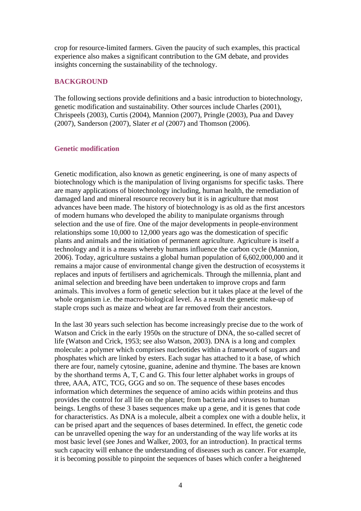crop for resource-limited farmers. Given the paucity of such examples, this practical experience also makes a significant contribution to the GM debate, and provides insights concerning the sustainability of the technology.

#### **BACKGROUND**

The following sections provide definitions and a basic introduction to biotechnology, genetic modification and sustainability. Other sources include Charles (2001), Chrispeels (2003), Curtis (2004), Mannion (2007), Pringle (2003), Pua and Davey (2007), Sanderson (2007), Slater *et al* (2007) and Thomson (2006).

#### **Genetic modification**

Genetic modification, also known as genetic engineering, is one of many aspects of biotechnology which is the manipulation of living organisms for specific tasks. There are many applications of biotechnology including, human health, the remediation of damaged land and mineral resource recovery but it is in agriculture that most advances have been made. The history of biotechnology is as old as the first ancestors of modern humans who developed the ability to manipulate organisms through selection and the use of fire. One of the major developments in people-environment relationships some 10,000 to 12,000 years ago was the domestication of specific plants and animals and the initiation of permanent agriculture. Agriculture is itself a technology and it is a means whereby humans influence the carbon cycle (Mannion, 2006). Today, agriculture sustains a global human population of 6,602,000,000 and it remains a major cause of environmental change given the destruction of ecosystems it replaces and inputs of fertilisers and agrichemicals. Through the millennia, plant and animal selection and breeding have been undertaken to improve crops and farm animals. This involves a form of genetic selection but it takes place at the level of the whole organism i.e. the macro-biological level. As a result the genetic make-up of staple crops such as maize and wheat are far removed from their ancestors.

In the last 30 years such selection has become increasingly precise due to the work of Watson and Crick in the early 1950s on the structure of DNA, the so-called secret of life (Watson and Crick, 1953; see also Watson, 2003). DNA is a long and complex molecule: a polymer which comprises nucleotides within a framework of sugars and phosphates which are linked by esters. Each sugar has attached to it a base, of which there are four, namely cytosine, guanine, adenine and thymine. The bases are known by the shorthand terms A, T, C and G. This four letter alphabet works in groups of three, AAA, ATC, TCG, GGG and so on. The sequence of these bases encodes information which determines the sequence of amino acids within proteins and thus provides the control for all life on the planet; from bacteria and viruses to human beings. Lengths of these 3 bases sequences make up a gene, and it is genes that code for characteristics. As DNA is a molecule, albeit a complex one with a double helix, it can be prised apart and the sequences of bases determined. In effect, the genetic code can be unravelled opening the way for an understanding of the way life works at its most basic level (see Jones and Walker, 2003, for an introduction). In practical terms such capacity will enhance the understanding of diseases such as cancer. For example, it is becoming possible to pinpoint the sequences of bases which confer a heightened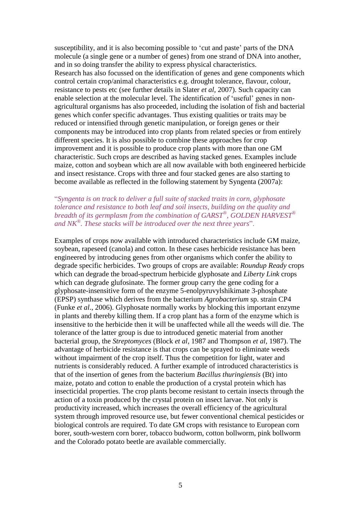susceptibility, and it is also becoming possible to "cut and paste" parts of the DNA molecule (a single gene or a number of genes) from one strand of DNA into another, and in so doing transfer the ability to express physical characteristics. Research has also focussed on the identification of genes and gene components which control certain crop/animal characteristics e.g. drought tolerance, flavour, colour, resistance to pests etc (see further details in Slater *et al*, 2007). Such capacity can enable selection at the molecular level. The identification of 'useful' genes in nonagricultural organisms has also proceeded, including the isolation of fish and bacterial genes which confer specific advantages. Thus existing qualities or traits may be reduced or intensified through genetic manipulation, or foreign genes or their components may be introduced into crop plants from related species or from entirely different species. It is also possible to combine these approaches for crop improvement and it is possible to produce crop plants with more than one GM characteristic. Such crops are described as having stacked genes. Examples include maize, cotton and soybean which are all now available with both engineered herbicide and insect resistance. Crops with three and four stacked genes are also starting to become available as reflected in the following statement by Syngenta (2007a):

#### "*Syngenta is on track to deliver a full suite of stacked traits in corn, glyphosate tolerance and resistance to both leaf and soil insects, building on the quality and breadth of its germplasm from the combination of GARST® , GOLDEN HARVEST® and NK® . These stacks will be introduced over the next three years*".

Examples of crops now available with introduced characteristics include GM maize, soybean, rapeseed (canola) and cotton. In these cases herbicide resistance has been engineered by introducing genes from other organisms which confer the ability to degrade specific herbicides. Two groups of crops are available: *Roundup Ready* crops which can degrade the broad-spectrum herbicide glyphosate and *Liberty Link* crops which can degrade glufosinate. The former group carry the gene coding for a glyphosate-insensitive form of the enzyme 5-enolpyruvylshikimate 3-phosphate (EPSP) synthase which derives from the bacterium *Agrobacterium* sp. strain CP4 (Funke *et al*., 2006). Glyphosate normally works by blocking this important enzyme in plants and thereby killing them. If a crop plant has a form of the enzyme which is insensitive to the herbicide then it will be unaffected while all the weeds will die. The tolerance of the latter group is due to introduced genetic material from another bacterial group, the *Streptomyces* (Block *et al,* 1987 and Thompson *et al,* 1987). The advantage of herbicide resistance is that crops can be sprayed to eliminate weeds without impairment of the crop itself. Thus the competition for light, water and nutrients is considerably reduced. A further example of introduced characteristics is that of the insertion of genes from the bacterium *Bacillus thuringiensis* (Bt) into maize, potato and cotton to enable the production of a crystal protein which has insecticidal properties. The crop plants become resistant to certain insects through the action of a toxin produced by the crystal protein on insect larvae. Not only is productivity increased, which increases the overall efficiency of the agricultural system through improved resource use, but fewer conventional chemical pesticides or biological controls are required. To date GM crops with resistance to European corn borer, south-western corn borer, tobacco budworm, cotton bollworm, pink bollworm and the Colorado potato beetle are available commercially.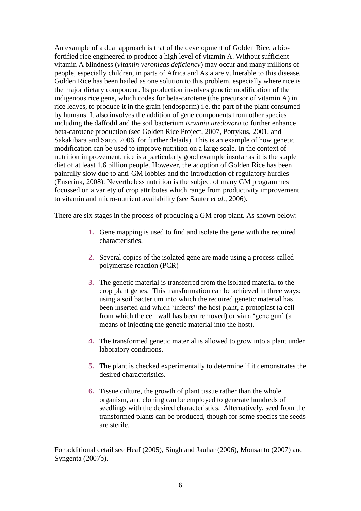An example of a dual approach is that of the development of Golden Rice, a biofortified rice engineered to produce a high level of vitamin A. Without sufficient vitamin A blindness (*vitamin veronicas deficiency*) may occur and many millions of people, especially children, in parts of Africa and Asia are vulnerable to this disease. Golden Rice has been hailed as one solution to this problem, especially where rice is the major dietary component. Its production involves genetic modification of the indigenous rice gene, which codes for beta-carotene (the precursor of vitamin A) in rice leaves, to produce it in the grain (endosperm) i.e. the part of the plant consumed by humans. It also involves the addition of gene components from other species including the daffodil and the soil bacterium *Erwinia uredovora* to further enhance beta-carotene production (see Golden Rice Project, 2007, Potrykus, 2001, and Sakakibara and Saito, 2006, for further details). This is an example of how genetic modification can be used to improve nutrition on a large scale. In the context of nutrition improvement, rice is a particularly good example insofar as it is the staple diet of at least 1.6 billion people. However, the adoption of Golden Rice has been painfully slow due to anti-GM lobbies and the introduction of regulatory hurdles (Enserink, 2008). Nevertheless nutrition is the subject of many GM programmes focussed on a variety of crop attributes which range from productivity improvement to vitamin and micro-nutrient availability (see Sauter *et al.,* 2006).

There are six stages in the process of producing a GM crop plant. As shown below:

- **1.** Gene mapping is used to find and isolate the gene with the required characteristics.
- **2.** Several copies of the isolated gene are made using a process called polymerase reaction (PCR)
- **3.** The genetic material is transferred from the isolated material to the crop plant genes. This transformation can be achieved in three ways: using a soil bacterium into which the required genetic material has been inserted and which 'infects' the host plant, a protoplast (a cell from which the cell wall has been removed) or via a "gene gun" (a means of injecting the genetic material into the host).
- **4.** The transformed genetic material is allowed to grow into a plant under laboratory conditions.
- **5.** The plant is checked experimentally to determine if it demonstrates the desired characteristics.
- **6.** Tissue culture, the growth of plant tissue rather than the whole organism, and cloning can be employed to generate hundreds of seedlings with the desired characteristics. Alternatively, seed from the transformed plants can be produced, though for some species the seeds are sterile.

For additional detail see Heaf (2005), Singh and Jauhar (2006), Monsanto (2007) and Syngenta (2007b).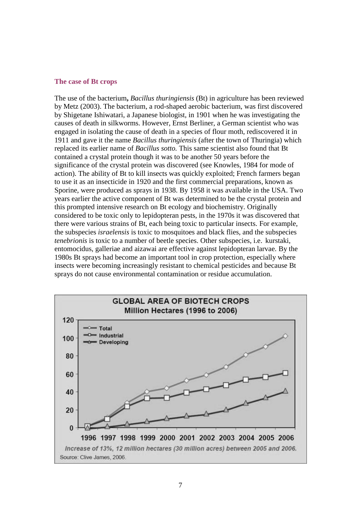#### **The case of Bt crops**

The use of the bacterium**,** *Bacillus thuringiensis* (Bt) in agriculture has been reviewed by Metz (2003). The bacterium, a rod-shaped aerobic bacterium, was first discovered by Shigetane Ishiwatari, a Japanese biologist, in 1901 when he was investigating the causes of death in silkworms. However, Ernst Berliner, a German scientist who was engaged in isolating the cause of death in a species of flour moth, rediscovered it in 1911 and gave it the name *Bacillus thuringiensis* (after the town of Thuringia) which replaced its earlier name of *Bacillus sotto.* This same scientist also found that Bt contained a crystal protein though it was to be another 50 years before the significance of the crystal protein was discovered (see Knowles, 1984 for mode of action). The ability of Bt to kill insects was quickly exploited; French farmers began to use it as an insecticide in 1920 and the first commercial preparations, known as Sporine, were produced as sprays in 1938. By 1958 it was available in the USA. Two years earlier the active component of Bt was determined to be the crystal protein and this prompted intensive research on Bt ecology and biochemistry. Originally considered to be toxic only to lepidopteran pests, in the 1970s it was discovered that there were various strains of Bt, each being toxic to particular insects. For example, the subspecies *israelensis* is toxic to mosquitoes and black flies, and the subspecies *tenebrionis* is toxic to a number of beetle species. Other subspecies, i.e. kurstaki, entomocidus, galleriae and aizawai are effective against lepidopteran larvae. By the 1980s Bt sprays had become an important tool in crop protection, especially where insects were becoming increasingly resistant to chemical pesticides and because Bt sprays do not cause environmental contamination or residue accumulation.

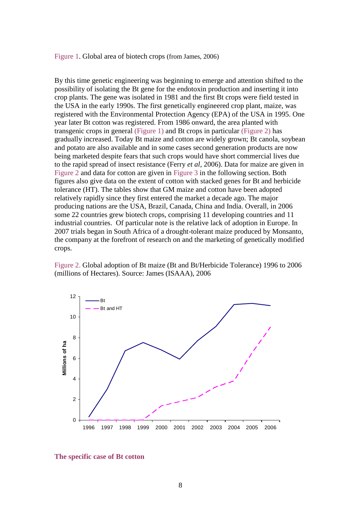#### Figure 1. Global area of biotech crops (from James, 2006)

By this time genetic engineering was beginning to emerge and attention shifted to the possibility of isolating the Bt gene for the endotoxin production and inserting it into crop plants. The gene was isolated in 1981 and the first Bt crops were field tested in the USA in the early 1990s. The first genetically engineered crop plant, maize, was registered with the Environmental Protection Agency (EPA) of the USA in 1995. One year later Bt cotton was registered. From 1986 onward, the area planted with transgenic crops in general (Figure 1) and Bt crops in particular (Figure 2) has gradually increased. Today Bt maize and cotton are widely grown; Bt canola, soybean and potato are also available and in some cases second generation products are now being marketed despite fears that such crops would have short commercial lives due to the rapid spread of insect resistance (Ferry *et al*, 2006). Data for maize are given in Figure 2 and data for cotton are given in Figure 3 in the following section. Both figures also give data on the extent of cotton with stacked genes for Bt and herbicide tolerance (HT). The tables show that GM maize and cotton have been adopted relatively rapidly since they first entered the market a decade ago. The major producing nations are the USA, Brazil, Canada, China and India. Overall, in 2006 some 22 countries grew biotech crops, comprising 11 developing countries and 11 industrial countries. Of particular note is the relative lack of adoption in Europe. In 2007 trials began in South Africa of a drought-tolerant maize produced by Monsanto, the company at the forefront of research on and the marketing of genetically modified crops.

Figure 2. Global adoption of Bt maize (Bt and Bt/Herbicide Tolerance) 1996 to 2006 (millions of Hectares). Source: James (ISAAA), 2006



**The specific case of Bt cotton**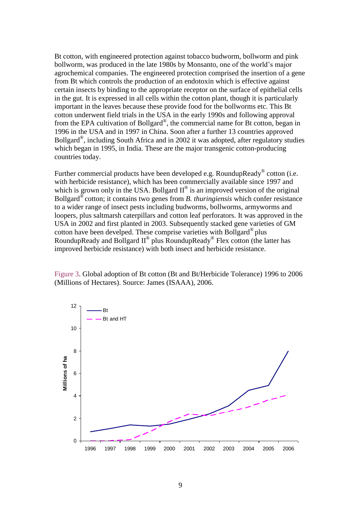Bt cotton, with engineered protection against tobacco budworm, bollworm and pink bollworm, was produced in the late 1980s by Monsanto, one of the world"s major agrochemical companies. The engineered protection comprised the insertion of a gene from Bt which controls the production of an endotoxin which is effective against certain insects by binding to the appropriate receptor on the surface of epithelial cells in the gut. It is expressed in all cells within the cotton plant, though it is particularly important in the leaves because these provide food for the bollworms etc. This Bt cotton underwent field trials in the USA in the early 1990s and following approval from the EPA cultivation of Bollgard<sup>®</sup>, the commercial name for Bt cotton, began in 1996 in the USA and in 1997 in China. Soon after a further 13 countries approved Bollgard® , including South Africa and in 2002 it was adopted, after regulatory studies which began in 1995, in India. These are the major transgenic cotton-producing countries today.

Further commercial products have been developed e.g. RoundupReady® cotton (i.e. with herbicide resistance), which has been commercially available since 1997 and which is grown only in the USA. Bollgard  $II^{\circledast}$  is an improved version of the original Bollgard® cotton; it contains two genes from *B. thuringiensis* which confer resistance to a wider range of insect pests including budworms, bollworms, armyworms and loopers, plus saltmarsh caterpillars and cotton leaf perforators. It was approved in the USA in 2002 and first planted in 2003. Subsequently stacked gene varieties of GM cotton have been develped. These comprise varieties with Bollgard® plus RoundupReady and Bollgard  $II^{\circledast}$  plus RoundupReady<sup>®</sup> Flex cotton (the latter has improved herbicide resistance) with both insect and herbicide resistance.

Figure 3. Global adoption of Bt cotton (Bt and Bt/Herbicide Tolerance) 1996 to 2006 (Millions of Hectares). Source: James (ISAAA), 2006.

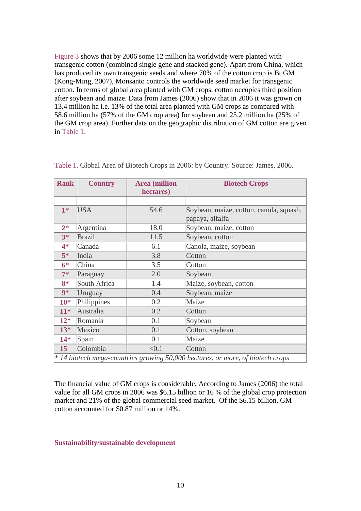Figure 3 shows that by 2006 some 12 million ha worldwide were planted with transgenic cotton (combined single gene and stacked gene). Apart from China, which has produced its own transgenic seeds and where 70% of the cotton crop is Bt GM (Kong-Ming, 2007), Monsanto controls the worldwide seed market for transgenic cotton. In terms of global area planted with GM crops, cotton occupies third position after soybean and maize. Data from James (2006) show that in 2006 it was grown on 13.4 million ha i.e. 13% of the total area planted with GM crops as compared with 58.6 million ha (57% of the GM crop area) for soybean and 25.2 million ha (25% of the GM crop area). Further data on the geographic distribution of GM cotton are given in Table 1.

| <b>Rank</b>                                                                    | <b>Country</b> | <b>Area</b> (million | <b>Biotech Crops</b>                    |  |
|--------------------------------------------------------------------------------|----------------|----------------------|-----------------------------------------|--|
|                                                                                |                | hectares)            |                                         |  |
|                                                                                |                |                      |                                         |  |
| $1*$                                                                           | <b>USA</b>     | 54.6                 | Soybean, maize, cotton, canola, squash, |  |
|                                                                                |                |                      | papaya, alfalfa                         |  |
| $2*$                                                                           | Argentina      | 18.0                 | Soybean, maize, cotton                  |  |
| $3*$                                                                           | <b>Brazil</b>  | 11.5                 | Soybean, cotton                         |  |
| $4*$                                                                           | Canada         | 6.1                  | Canola, maize, soybean                  |  |
| $5*$                                                                           | India          | 3.8                  | Cotton                                  |  |
| $6*$                                                                           | China          | 3.5                  | Cotton                                  |  |
| $7*$                                                                           | Paraguay       | 2.0                  | Soybean                                 |  |
| $8*$                                                                           | South Africa   | 1.4                  | Maize, soybean, cotton                  |  |
| $9*$                                                                           | Uruguay        | 0.4                  | Soybean, maize                          |  |
| $10*$                                                                          | Philippines    | 0.2                  | Maize                                   |  |
| $11*$                                                                          | Australia      | 0.2                  | Cotton                                  |  |
| $12*$                                                                          | Romania        | 0.1                  | Soybean                                 |  |
| $13*$                                                                          | Mexico         | 0.1                  | Cotton, soybean                         |  |
| $14*$                                                                          | Spain          | 0.1                  | Maize                                   |  |
| 15                                                                             | Colombia       | < 0.1                | Cotton                                  |  |
| * 14 biotech mega-countries growing 50,000 hectares, or more, of biotech crops |                |                      |                                         |  |

Table 1. Global Area of Biotech Crops in 2006: by Country. Source: James, 2006.

The financial value of GM crops is considerable. According to James (2006) the total value for all GM crops in 2006 was \$6.15 billion or 16 % of the global crop protection market and 21% of the global commercial seed market. Of the \$6.15 billion, GM cotton accounted for \$0.87 million or 14%.

#### **Sustainability/sustainable development**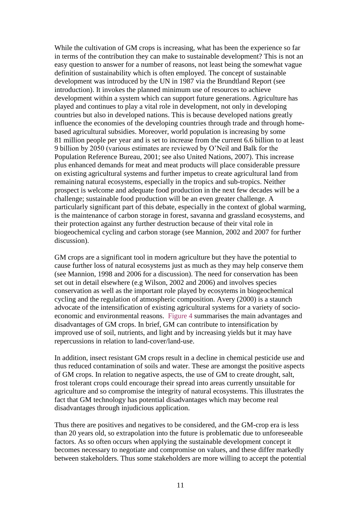While the cultivation of GM crops is increasing, what has been the experience so far in terms of the contribution they can make to sustainable development? This is not an easy question to answer for a number of reasons, not least being the somewhat vague definition of sustainability which is often employed. The concept of sustainable development was introduced by the UN in 1987 via the Brundtland Report (see introduction). It invokes the planned minimum use of resources to achieve development within a system which can support future generations. Agriculture has played and continues to play a vital role in development, not only in developing countries but also in developed nations. This is because developed nations greatly influence the economies of the developing countries through trade and through homebased agricultural subsidies. Moreover, world population is increasing by some 81 million people per year and is set to increase from the current 6.6 billion to at least 9 billion by 2050 (various estimates are reviewed by O"Neil and Balk for the Population Reference Bureau, 2001; see also United Nations, 2007). This increase plus enhanced demands for meat and meat products will place considerable pressure on existing agricultural systems and further impetus to create agricultural land from remaining natural ecosystems, especially in the tropics and sub-tropics. Neither prospect is welcome and adequate food production in the next few decades will be a challenge; sustainable food production will be an even greater challenge. A particularly significant part of this debate, especially in the context of global warming, is the maintenance of carbon storage in forest, savanna and grassland ecosystems, and their protection against any further destruction because of their vital role in biogeochemical cycling and carbon storage (see Mannion, 2002 and 2007 for further discussion).

GM crops are a significant tool in modern agriculture but they have the potential to cause further loss of natural ecosystems just as much as they may help conserve them (see Mannion, 1998 and 2006 for a discussion). The need for conservation has been set out in detail elsewhere (e.g Wilson, 2002 and 2006) and involves species conservation as well as the important role played by ecosytems in biogeochemical cycling and the regulation of atmospheric composition. Avery (2000) is a staunch advocate of the intensification of existing agricultural systems for a variety of socioeconomic and environmental reasons. Figure 4 summarises the main advantages and disadvantages of GM crops. In brief, GM can contribute to intensification by improved use of soil, nutrients, and light and by increasing yields but it may have repercussions in relation to land-cover/land-use.

In addition, insect resistant GM crops result in a decline in chemical pesticide use and thus reduced contamination of soils and water. These are amongst the positive aspects of GM crops. In relation to negative aspects, the use of GM to create drought, salt, frost tolerant crops could encourage their spread into areas currently unsuitable for agriculture and so compromise the integrity of natural ecosystems. This illustrates the fact that GM technology has potential disadvantages which may become real disadvantages through injudicious application.

Thus there are positives and negatives to be considered, and the GM-crop era is less than 20 years old, so extrapolation into the future is problematic due to unforeseeable factors. As so often occurs when applying the sustainable development concept it becomes necessary to negotiate and compromise on values, and these differ markedly between stakeholders. Thus some stakeholders are more willing to accept the potential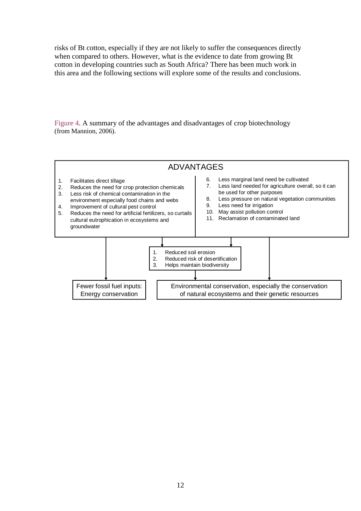risks of Bt cotton, especially if they are not likely to suffer the consequences directly when compared to others. However, what is the evidence to date from growing Bt cotton in developing countries such as South Africa? There has been much work in this area and the following sections will explore some of the results and conclusions.

Figure 4. A summary of the advantages and disadvantages of crop biotechnology (from Mannion, 2006).

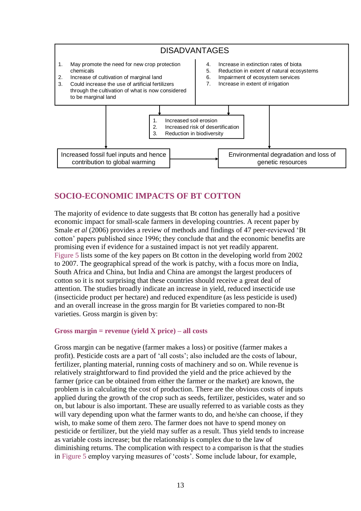

### **SOCIO-ECONOMIC IMPACTS OF BT COTTON**

The majority of evidence to date suggests that Bt cotton has generally had a positive economic impact for small-scale farmers in developing countries. A recent paper by Smale *et al* (2006) provides a review of methods and findings of 47 peer-reviewed "Bt cotton" papers published since 1996; they conclude that and the economic benefits are promising even if evidence for a sustained impact is not yet readily apparent. Figure 5 lists some of the key papers on Bt cotton in the developing world from 2002 to 2007. The geographical spread of the work is patchy, with a focus more on India, South Africa and China, but India and China are amongst the largest producers of cotton so it is not surprising that these countries should receive a great deal of attention. The studies broadly indicate an increase in yield, reduced insecticide use (insecticide product per hectare) and reduced expenditure (as less pesticide is used) and an overall increase in the gross margin for Bt varieties compared to non-Bt varieties. Gross margin is given by:

#### **Gross margin = revenue (yield X price) – all costs**

Gross margin can be negative (farmer makes a loss) or positive (farmer makes a profit). Pesticide costs are a part of "all costs"; also included are the costs of labour, fertilizer, planting material, running costs of machinery and so on. While revenue is relatively straightforward to find provided the yield and the price achieved by the farmer (price can be obtained from either the farmer or the market) are known, the problem is in calculating the cost of production. There are the obvious costs of inputs applied during the growth of the crop such as seeds, fertilizer, pesticides, water and so on, but labour is also important. These are usually referred to as variable costs as they will vary depending upon what the farmer wants to do, and he/she can choose, if they wish, to make some of them zero. The farmer does not have to spend money on pesticide or fertilizer, but the yield may suffer as a result. Thus yield tends to increase as variable costs increase; but the relationship is complex due to the law of diminishing returns. The complication with respect to a comparison is that the studies in Figure 5 employ varying measures of "costs". Some include labour, for example,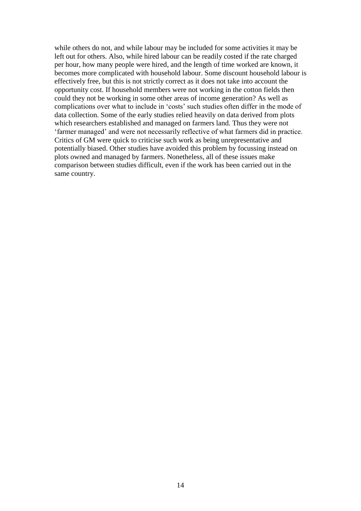while others do not, and while labour may be included for some activities it may be left out for others. Also, while hired labour can be readily costed if the rate charged per hour, how many people were hired, and the length of time worked are known, it becomes more complicated with household labour. Some discount household labour is effectively free, but this is not strictly correct as it does not take into account the opportunity cost. If household members were not working in the cotton fields then could they not be working in some other areas of income generation? As well as complications over what to include in "costs" such studies often differ in the mode of data collection. Some of the early studies relied heavily on data derived from plots which researchers established and managed on farmers land. Thus they were not "farmer managed" and were not necessarily reflective of what farmers did in practice. Critics of GM were quick to criticise such work as being unrepresentative and potentially biased. Other studies have avoided this problem by focussing instead on plots owned and managed by farmers. Nonetheless, all of these issues make comparison between studies difficult, even if the work has been carried out in the same country.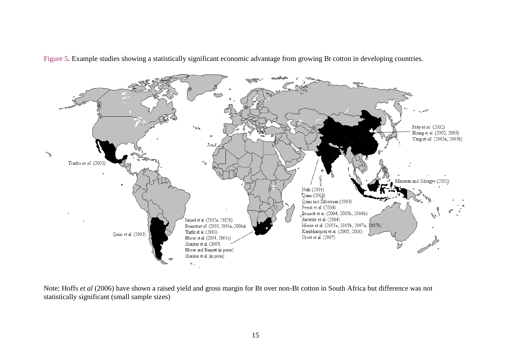

Figure 5. Example studies showing a statistically significant economic advantage from growing Bt cotton in developing countries.

Note: Hoffs *et al* (2006) have shown a raised yield and gross margin for Bt over non-Bt cotton in South Africa but difference was not statistically significant (small sample sizes)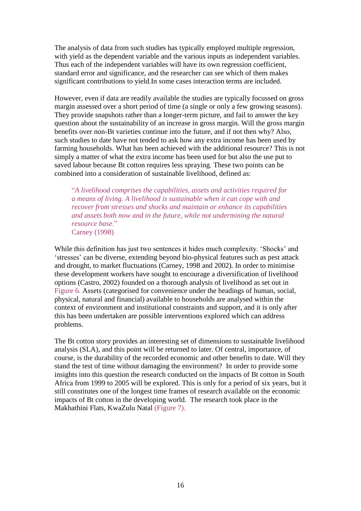The analysis of data from such studies has typically employed multiple regression, with yield as the dependent variable and the various inputs as independent variables. Thus each of the independent variables will have its own regression coefficient, standard error and significance, and the researcher can see which of them makes significant contributions to yield.In some cases interaction terms are included.

However, even if data are readily available the studies are typically focussed on gross margin assessed over a short period of time (a single or only a few growing seasons). They provide snapshots rather than a longer-term picture, and fail to answer the key question about the sustainability of an increase in gross margin. Will the gross margin benefits over non-Bt varieties continue into the future, and if not then why? Also, such studies to date have not tended to ask how any extra income has been used by farming households. What has been achieved with the additional resource? This is not simply a matter of what the extra income has been used for but also the use put to saved labour because Bt cotton requires less spraying. These two points can be combined into a consideration of sustainable livelihood, defined as:

"*A livelihood comprises the capabilities, assets and activities required for a means of living. A livelihood is sustainable when it can cope with and recover from stresses and shocks and maintain or enhance its capabilities and assets both now and in the future, while not undermining the natural resource base*." Carney (1998)

While this definition has just two sentences it hides much complexity. 'Shocks' and "stresses" can be diverse, extending beyond bio-physical features such as pest attack and drought, to market fluctuations (Carney, 1998 and 2002). In order to minimise these development workers have sought to encourage a diversification of livelihood options (Castro, 2002) founded on a thorough analysis of livelihood as set out in Figure 6. Assets (categorised for convenience under the headings of human, social, physical, natural and financial) available to households are analysed within the context of environment and institutional constraints and support, and it is only after this has been undertaken are possible interventions explored which can address problems.

The Bt cotton story provides an interesting set of dimensions to sustainable livelihood analysis (SLA), and this point will be returned to later. Of central, importance, of course, is the durability of the recorded economic and other benefits to date. Will they stand the test of time without damaging the environment? In order to provide some insights into this question the research conducted on the impacts of Bt cotton in South Africa from 1999 to 2005 will be explored. This is only for a period of six years, but it still constitutes one of the longest time frames of research available on the economic impacts of Bt cotton in the developing world. The research took place in the Makhathini Flats, KwaZulu Natal (Figure 7).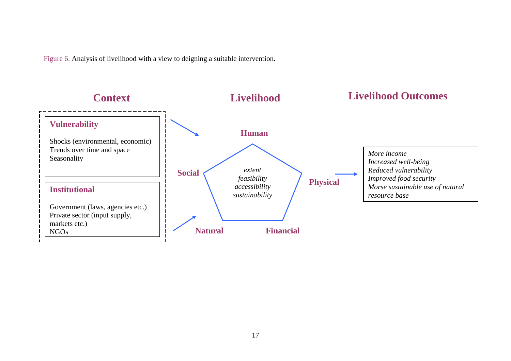Figure 6. Analysis of livelihood with a view to deigning a suitable intervention.

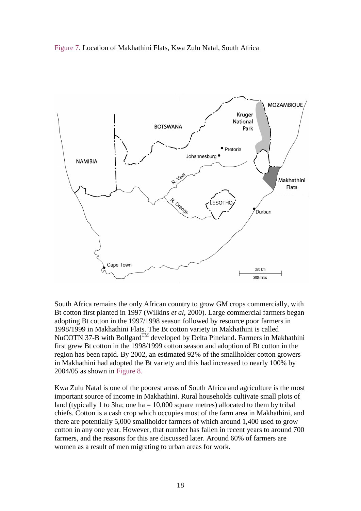



South Africa remains the only African country to grow GM crops commercially, with Bt cotton first planted in 1997 (Wilkins *et al*, 2000). Large commercial farmers began adopting Bt cotton in the 1997/1998 season followed by resource poor farmers in 1998/1999 in Makhathini Flats. The Bt cotton variety in Makhathini is called NuCOTN 37-B with Bollgard<sup>TM</sup> developed by Delta Pineland. Farmers in Makhathini first grew Bt cotton in the 1998/1999 cotton season and adoption of Bt cotton in the region has been rapid. By 2002, an estimated 92% of the smallholder cotton growers in Makhathini had adopted the Bt variety and this had increased to nearly 100% by 2004/05 as shown in Figure 8.

Kwa Zulu Natal is one of the poorest areas of South Africa and agriculture is the most important source of income in Makhathini. Rural households cultivate small plots of land (typically 1 to 3ha; one ha  $= 10,000$  square metres) allocated to them by tribal chiefs. Cotton is a cash crop which occupies most of the farm area in Makhathini, and there are potentially 5,000 smallholder farmers of which around 1,400 used to grow cotton in any one year. However, that number has fallen in recent years to around 700 farmers, and the reasons for this are discussed later. Around 60% of farmers are women as a result of men migrating to urban areas for work.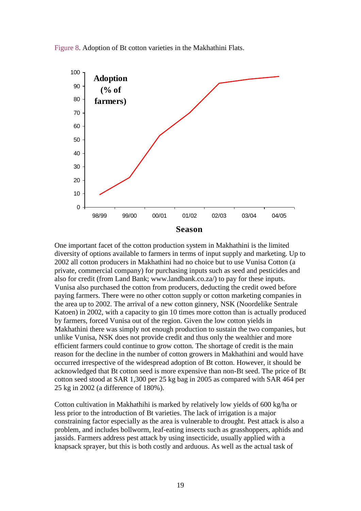Figure 8. Adoption of Bt cotton varieties in the Makhathini Flats.



One important facet of the cotton production system in Makhathini is the limited diversity of options available to farmers in terms of input supply and marketing. Up to 2002 all cotton producers in Makhathini had no choice but to use Vunisa Cotton (a private, commercial company) for purchasing inputs such as seed and pesticides and also for credit (from Land Bank; www.landbank.co.za/) to pay for these inputs. Vunisa also purchased the cotton from producers, deducting the credit owed before paying farmers. There were no other cotton supply or cotton marketing companies in the area up to 2002. The arrival of a new cotton ginnery, NSK (Noordelike Sentrale Katoen) in 2002, with a capacity to gin 10 times more cotton than is actually produced by farmers, forced Vunisa out of the region. Given the low cotton yields in Makhathini there was simply not enough production to sustain the two companies, but unlike Vunisa, NSK does not provide credit and thus only the wealthier and more efficient farmers could continue to grow cotton. The shortage of credit is the main reason for the decline in the number of cotton growers in Makhathini and would have occurred irrespective of the widespread adoption of Bt cotton. However, it should be acknowledged that Bt cotton seed is more expensive than non-Bt seed. The price of Bt cotton seed stood at SAR 1,300 per 25 kg bag in 2005 as compared with SAR 464 per 25 kg in 2002 (a difference of 180%).

Cotton cultivation in Makhathihi is marked by relatively low yields of 600 kg/ha or less prior to the introduction of Bt varieties. The lack of irrigation is a major constraining factor especially as the area is vulnerable to drought. Pest attack is also a problem, and includes bollworm, leaf-eating insects such as grasshoppers, aphids and jassids. Farmers address pest attack by using insecticide, usually applied with a knapsack sprayer, but this is both costly and arduous. As well as the actual task of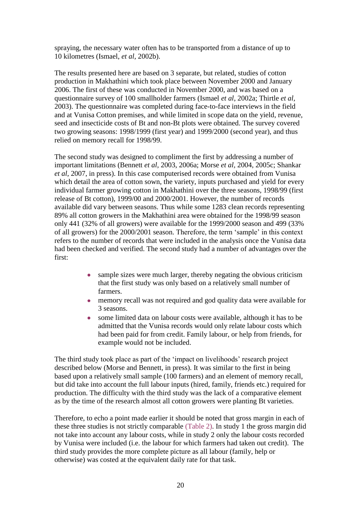spraying, the necessary water often has to be transported from a distance of up to 10 kilometres (Ismael, *et al*, 2002b).

The results presented here are based on 3 separate, but related, studies of cotton production in Makhathini which took place between November 2000 and January 2006. The first of these was conducted in November 2000, and was based on a questionnaire survey of 100 smallholder farmers (Ismael *et al*, 2002a; Thirtle *et al,* 2003). The questionnaire was completed during face-to-face interviews in the field and at Vunisa Cotton premises, and while limited in scope data on the yield, revenue, seed and insecticide costs of Bt and non-Bt plots were obtained. The survey covered two growing seasons: 1998/1999 (first year) and 1999/2000 (second year), and thus relied on memory recall for 1998/99.

The second study was designed to compliment the first by addressing a number of important limitations (Bennett *et al*, 2003, 2006a; Morse *et al,* 2004, 2005c; Shankar *et al*, 2007, in press). In this case computerised records were obtained from Vunisa which detail the area of cotton sown, the variety, inputs purchased and yield for every individual farmer growing cotton in Makhathini over the three seasons, 1998/99 (first release of Bt cotton), 1999/00 and 2000/2001. However, the number of records available did vary between seasons. Thus while some 1283 clean records representing 89% all cotton growers in the Makhathini area were obtained for the 1998/99 season only 441 (32% of all growers) were available for the 1999/2000 season and 499 (33% of all growers) for the 2000/2001 season. Therefore, the term "sample" in this context refers to the number of records that were included in the analysis once the Vunisa data had been checked and verified. The second study had a number of advantages over the first:

- sample sizes were much larger, thereby negating the obvious criticism that the first study was only based on a relatively small number of farmers.
- memory recall was not required and god quality data were available for  $\bullet$ 3 seasons.
- some limited data on labour costs were available, although it has to be admitted that the Vunisa records would only relate labour costs which had been paid for from credit. Family labour, or help from friends, for example would not be included.

The third study took place as part of the 'impact on livelihoods' research project described below (Morse and Bennett, in press). It was similar to the first in being based upon a relatively small sample (100 farmers) and an element of memory recall, but did take into account the full labour inputs (hired, family, friends etc.) required for production. The difficulty with the third study was the lack of a comparative element as by the time of the research almost all cotton growers were planting Bt varieties.

Therefore, to echo a point made earlier it should be noted that gross margin in each of these three studies is not strictly comparable (Table 2). In study 1 the gross margin did not take into account any labour costs, while in study 2 only the labour costs recorded by Vunisa were included (i.e. the labour for which farmers had taken out credit). The third study provides the more complete picture as all labour (family, help or otherwise) was costed at the equivalent daily rate for that task.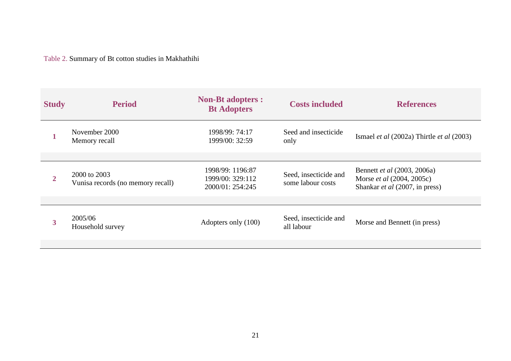Table 2. Summary of Bt cotton studies in Makhathihi

| <b>Study</b> | <b>Period</b>                                     | <b>Non-Bt adopters :</b><br><b>Bt Adopters</b>           | <b>Costs included</b>                      | <b>References</b>                                                                                 |
|--------------|---------------------------------------------------|----------------------------------------------------------|--------------------------------------------|---------------------------------------------------------------------------------------------------|
|              | November 2000<br>Memory recall                    | 1998/99: 74:17<br>1999/00: 32:59                         | Seed and insecticide<br>only               | Ismael <i>et al</i> $(2002a)$ Thirtle <i>et al</i> $(2003)$                                       |
| $\mathbf{2}$ | 2000 to 2003<br>Vunisa records (no memory recall) | 1998/99: 1196:87<br>1999/00: 329:112<br>2000/01: 254:245 | Seed, insecticide and<br>some labour costs | Bennett et al (2003, 2006a)<br>Morse <i>et al</i> (2004, 2005c)<br>Shankar et al (2007, in press) |
| 3            | 2005/06<br>Household survey                       | Adopters only (100)                                      | Seed, insecticide and<br>all labour        | Morse and Bennett (in press)                                                                      |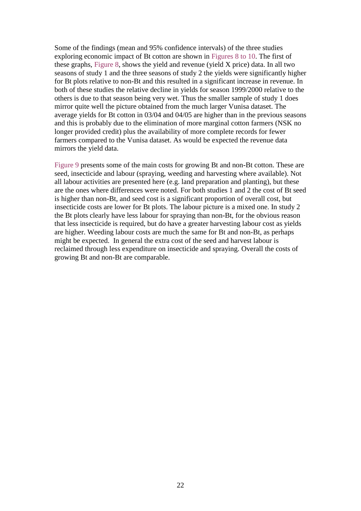Some of the findings (mean and 95% confidence intervals) of the three studies exploring economic impact of Bt cotton are shown in Figures 8 to 10. The first of these graphs, Figure 8, shows the yield and revenue (yield X price) data. In all two seasons of study 1 and the three seasons of study 2 the yields were significantly higher for Bt plots relative to non-Bt and this resulted in a significant increase in revenue. In both of these studies the relative decline in yields for season 1999/2000 relative to the others is due to that season being very wet. Thus the smaller sample of study 1 does mirror quite well the picture obtained from the much larger Vunisa dataset. The average yields for Bt cotton in 03/04 and 04/05 are higher than in the previous seasons and this is probably due to the elimination of more marginal cotton farmers (NSK no longer provided credit) plus the availability of more complete records for fewer farmers compared to the Vunisa dataset. As would be expected the revenue data mirrors the yield data.

Figure 9 presents some of the main costs for growing Bt and non-Bt cotton. These are seed, insecticide and labour (spraying, weeding and harvesting where available). Not all labour activities are presented here (e.g. land preparation and planting), but these are the ones where differences were noted. For both studies 1 and 2 the cost of Bt seed is higher than non-Bt, and seed cost is a significant proportion of overall cost, but insecticide costs are lower for Bt plots. The labour picture is a mixed one. In study 2 the Bt plots clearly have less labour for spraying than non-Bt, for the obvious reason that less insecticide is required, but do have a greater harvesting labour cost as yields are higher. Weeding labour costs are much the same for Bt and non-Bt, as perhaps might be expected. In general the extra cost of the seed and harvest labour is reclaimed through less expenditure on insecticide and spraying. Overall the costs of growing Bt and non-Bt are comparable.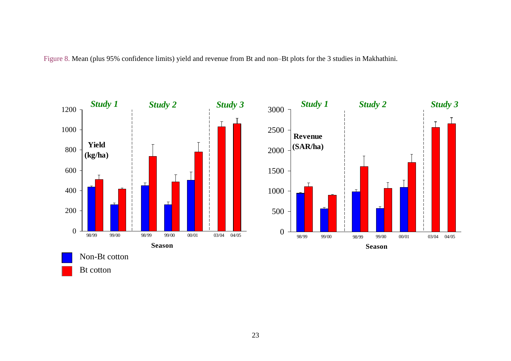Figure 8. Mean (plus 95% confidence limits) yield and revenue from Bt and non–Bt plots for the 3 studies in Makhathini.

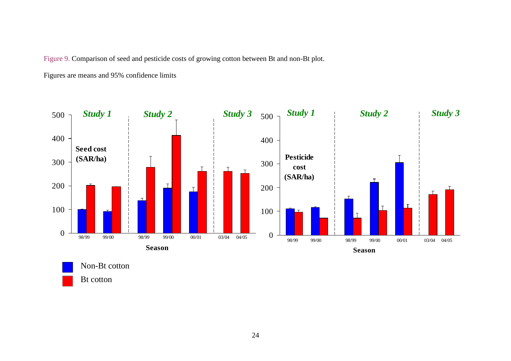Figure 9. Comparison of seed and pesticide costs of growing cotton between Bt and non-Bt plot.

Figures are means and 95% confidence limits



Bt cotton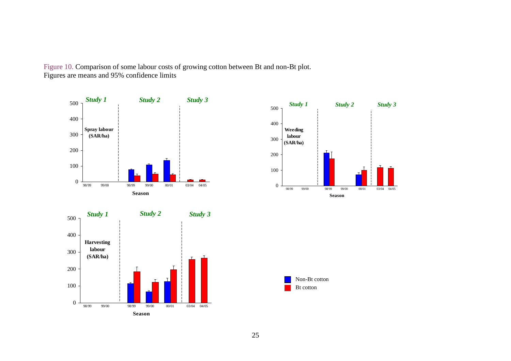Figure 10. Comparison of some labour costs of growing cotton between Bt and non-Bt plot. Figures are means and 95% confidence limits







Bt cotton Non-Bt cotton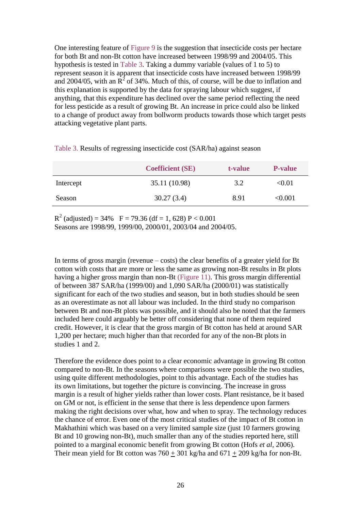One interesting feature of Figure 9 is the suggestion that insecticide costs per hectare for both Bt and non-Bt cotton have increased between 1998/99 and 2004/05. This hypothesis is tested in Table 3. Taking a dummy variable (values of 1 to 5) to represent season it is apparent that insecticide costs have increased between 1998/99 and 2004/05, with an  $\overline{R}^2$  of 34%. Much of this, of course, will be due to inflation and this explanation is supported by the data for spraying labour which suggest, if anything, that this expenditure has declined over the same period reflecting the need for less pesticide as a result of growing Bt. An increase in price could also be linked to a change of product away from bollworm products towards those which target pests attacking vegetative plant parts.

|           | <b>Coefficient (SE)</b> | t-value | <b>P-value</b> |
|-----------|-------------------------|---------|----------------|
| Intercept | 35.11 (10.98)           | 3.2     | $< \!\! 0.01$  |
| Season    | 30.27(3.4)              | 8.91    | < 0.001        |

Table 3. Results of regressing insecticide cost (SAR/ha) against season

 $R<sup>2</sup>$  (adjusted) = 34%  $F = 79.36$  (df = 1, 628) P < 0.001 Seasons are 1998/99, 1999/00, 2000/01, 2003/04 and 2004/05.

In terms of gross margin (revenue – costs) the clear benefits of a greater yield for Bt cotton with costs that are more or less the same as growing non-Bt results in Bt plots having a higher gross margin than non-Bt (Figure 11). This gross margin differential of between 387 SAR/ha (1999/00) and 1,090 SAR/ha (2000/01) was statistically significant for each of the two studies and season, but in both studies should be seen as an overestimate as not all labour was included. In the third study no comparison between Bt and non-Bt plots was possible, and it should also be noted that the farmers included here could arguably be better off considering that none of them required credit. However, it is clear that the gross margin of Bt cotton has held at around SAR 1,200 per hectare; much higher than that recorded for any of the non-Bt plots in studies 1 and 2.

Therefore the evidence does point to a clear economic advantage in growing Bt cotton compared to non-Bt. In the seasons where comparisons were possible the two studies, using quite different methodologies, point to this advantage. Each of the studies has its own limitations, but together the picture is convincing. The increase in gross margin is a result of higher yields rather than lower costs. Plant resistance, be it based on GM or not, is efficient in the sense that there is less dependence upon farmers making the right decisions over what, how and when to spray. The technology reduces the chance of error. Even one of the most critical studies of the impact of Bt cotton in Makhathini which was based on a very limited sample size (just 10 farmers growing Bt and 10 growing non-Bt), much smaller than any of the studies reported here, still pointed to a marginal economic benefit from growing Bt cotton (Hofs *et al,* 2006). Their mean yield for Bt cotton was  $760 \pm 301$  kg/ha and  $671 \pm 209$  kg/ha for non-Bt.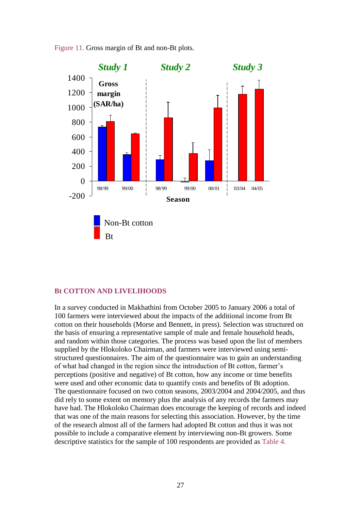

Figure 11. Gross margin of Bt and non-Bt plots.

#### **Bt COTTON AND LIVELIHOODS**

In a survey conducted in Makhathini from October 2005 to January 2006 a total of 100 farmers were interviewed about the impacts of the additional income from Bt cotton on their households (Morse and Bennett, in press). Selection was structured on the basis of ensuring a representative sample of male and female household heads, and random within those categories. The process was based upon the list of members supplied by the Hlokoloko Chairman, and farmers were interviewed using semistructured questionnaires. The aim of the questionnaire was to gain an understanding of what had changed in the region since the introduction of Bt cotton, farmer"s perceptions (positive and negative) of Bt cotton, how any income or time benefits were used and other economic data to quantify costs and benefits of Bt adoption. The questionnaire focused on two cotton seasons, 2003/2004 and 2004/2005, and thus did rely to some extent on memory plus the analysis of any records the farmers may have had. The Hlokoloko Chairman does encourage the keeping of records and indeed that was one of the main reasons for selecting this association. However, by the time of the research almost all of the farmers had adopted Bt cotton and thus it was not possible to include a comparative element by interviewing non-Bt growers. Some descriptive statistics for the sample of 100 respondents are provided as Table 4.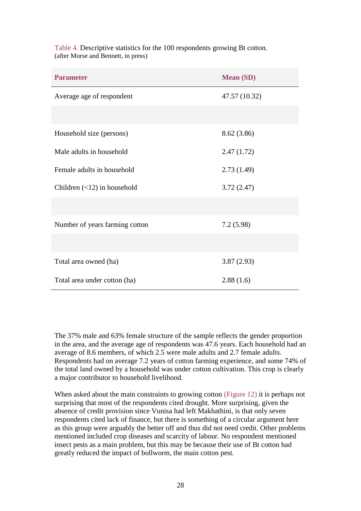| <b>Parameter</b>                  | <b>Mean (SD)</b> |
|-----------------------------------|------------------|
| Average age of respondent         | 47.57 (10.32)    |
|                                   |                  |
| Household size (persons)          | 8.62 (3.86)      |
| Male adults in household          | 2.47(1.72)       |
| Female adults in household        | 2.73(1.49)       |
| Children $(\leq 12)$ in household | 3.72(2.47)       |
|                                   |                  |
| Number of years farming cotton    | 7.2(5.98)        |
|                                   |                  |
| Total area owned (ha)             | 3.87(2.93)       |
| Total area under cotton (ha)      | 2.88(1.6)        |

Table 4. Descriptive statistics for the 100 respondents growing Bt cotton. (after Morse and Bennett, in press)

The 37% male and 63% female structure of the sample reflects the gender proportion in the area, and the average age of respondents was 47.6 years. Each household had an average of 8.6 members, of which 2.5 were male adults and 2.7 female adults. Respondents had on average 7.2 years of cotton farming experience, and some 74% of the total land owned by a household was under cotton cultivation. This crop is clearly a major contributor to household livelihood.

When asked about the main constraints to growing cotton (Figure 12) it is perhaps not surprising that most of the respondents cited drought. More surprising, given the absence of credit provision since Vunisa had left Makhathini, is that only seven respondents cited lack of finance, but there is something of a circular argument here as this group were arguably the better off and thus did not need credit. Other problems mentioned included crop diseases and scarcity of labour. No respondent mentioned insect pests as a main problem, but this may be because their use of Bt cotton had greatly reduced the impact of bollworm, the main cotton pest.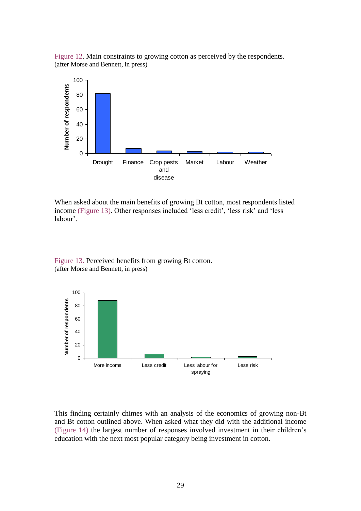Figure 12. Main constraints to growing cotton as perceived by the respondents. (after Morse and Bennett, in press)



When asked about the main benefits of growing Bt cotton, most respondents listed income (Figure 13). Other responses included 'less credit', 'less risk' and 'less labour'.



Figure 13. Perceived benefits from growing Bt cotton. (after Morse and Bennett, in press)

This finding certainly chimes with an analysis of the economics of growing non-Bt and Bt cotton outlined above. When asked what they did with the additional income (Figure 14) the largest number of responses involved investment in their children"s education with the next most popular category being investment in cotton.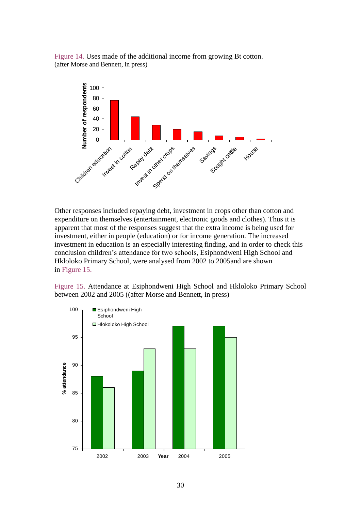Figure 14. Uses made of the additional income from growing Bt cotton. (after Morse and Bennett, in press)



Other responses included repaying debt, investment in crops other than cotton and expenditure on themselves (entertainment, electronic goods and clothes). Thus it is apparent that most of the responses suggest that the extra income is being used for investment, either in people (education) or for income generation. The increased investment in education is an especially interesting finding, and in order to check this conclusion children"s attendance for two schools, Esiphondweni High School and Hkloloko Primary School, were analysed from 2002 to 2005and are shown in Figure 15.

Figure 15. Attendance at Esiphondweni High School and Hkloloko Primary School between 2002 and 2005 ((after Morse and Bennett, in press)

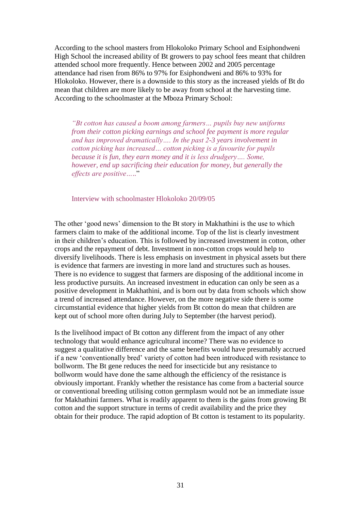According to the school masters from Hlokoloko Primary School and Esiphondweni High School the increased ability of Bt growers to pay school fees meant that children attended school more frequently. Hence between 2002 and 2005 percentage attendance had risen from 86% to 97% for Esiphondweni and 86% to 93% for Hlokoloko. However, there is a downside to this story as the increased yields of Bt do mean that children are more likely to be away from school at the harvesting time. According to the schoolmaster at the Mboza Primary School:

*"Bt cotton has caused a boom among farmers… pupils buy new uniforms from their cotton picking earnings and school fee payment is more regular and has improved dramatically…. In the past 2-3 years involvement in cotton picking has increased… cotton picking is a favourite for pupils because it is fun, they earn money and it is less drudgery…. Some, however, end up sacrificing their education for money, but generally the effects are positive…*.."

Interview with schoolmaster Hlokoloko 20/09/05

The other "good news" dimension to the Bt story in Makhathini is the use to which farmers claim to make of the additional income. Top of the list is clearly investment in their children"s education. This is followed by increased investment in cotton, other crops and the repayment of debt. Investment in non-cotton crops would help to diversify livelihoods. There is less emphasis on investment in physical assets but there is evidence that farmers are investing in more land and structures such as houses. There is no evidence to suggest that farmers are disposing of the additional income in less productive pursuits. An increased investment in education can only be seen as a positive development in Makhathini, and is born out by data from schools which show a trend of increased attendance. However, on the more negative side there is some circumstantial evidence that higher yields from Bt cotton do mean that children are kept out of school more often during July to September (the harvest period).

Is the livelihood impact of Bt cotton any different from the impact of any other technology that would enhance agricultural income? There was no evidence to suggest a qualitative difference and the same benefits would have presumably accrued if a new "conventionally bred" variety of cotton had been introduced with resistance to bollworm. The Bt gene reduces the need for insecticide but any resistance to bollworm would have done the same although the efficiency of the resistance is obviously important. Frankly whether the resistance has come from a bacterial source or conventional breeding utilising cotton germplasm would not be an immediate issue for Makhathini farmers. What is readily apparent to them is the gains from growing Bt cotton and the support structure in terms of credit availability and the price they obtain for their produce. The rapid adoption of Bt cotton is testament to its popularity.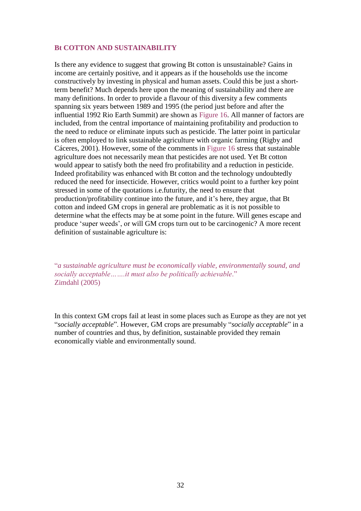#### **Bt COTTON AND SUSTAINABILITY**

Is there any evidence to suggest that growing Bt cotton is unsustainable? Gains in income are certainly positive, and it appears as if the households use the income constructively by investing in physical and human assets. Could this be just a shortterm benefit? Much depends here upon the meaning of sustainability and there are many definitions. In order to provide a flavour of this diversity a few comments spanning six years between 1989 and 1995 (the period just before and after the influential 1992 Rio Earth Summit) are shown as Figure 16. All manner of factors are included, from the central importance of maintaining profitability and production to the need to reduce or eliminate inputs such as pesticide. The latter point in particular is often employed to link sustainable agriculture with organic farming (Rigby and Cáceres, 2001). However, some of the comments in Figure 16 stress that sustainable agriculture does not necessarily mean that pesticides are not used. Yet Bt cotton would appear to satisfy both the need fro profitability and a reduction in pesticide. Indeed profitability was enhanced with Bt cotton and the technology undoubtedly reduced the need for insecticide. However, critics would point to a further key point stressed in some of the quotations i.e.futurity, the need to ensure that production/profitability continue into the future, and it"s here, they argue, that Bt cotton and indeed GM crops in general are problematic as it is not possible to determine what the effects may be at some point in the future. Will genes escape and produce "super weeds", or will GM crops turn out to be carcinogenic? A more recent definition of sustainable agriculture is:

"*a sustainable agriculture must be economically viable, environmentally sound, and socially acceptable…….it must also be politically achievable*." Zimdahl (2005)

In this context GM crops fail at least in some places such as Europe as they are not yet "*socially acceptable*". However, GM crops are presumably "*socially acceptable*" in a number of countries and thus, by definition, sustainable provided they remain economically viable and environmentally sound.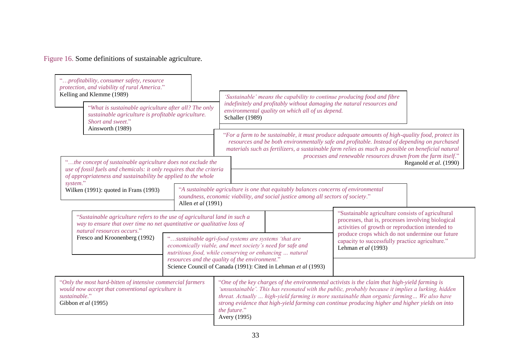Figure 16. Some definitions of sustainable agriculture.

| "profitability, consumer safety, resource<br>protection, and viability of rural America."<br>Kelling and Klemme (1989)<br>"What is sustainable agriculture after all? The only<br>sustainable agriculture is profitable agriculture.<br>Short and sweet."<br>Ainsworth (1989)<br>"the concept of sustainable agriculture does not exclude the<br>use of fossil fuels and chemicals: it only requires that the criteria<br>of appropriateness and sustainability be applied to the whole<br>system."<br>Wilken (1991): quoted in Frans (1993)<br>Allen et al (1991)<br>"Sustainable agriculture refers to the use of agricultural land in such a<br>way to ensure that over time no net quantitative or qualitative loss of<br>natural resources occurs."<br>Fresco and Kroonenberg (1992) |  | 'Sustainable' means the capability to continue producing food and fibre<br>indefinitely and profitably without damaging the natural resources and<br>environmental quality on which all of us depend.<br>Schaller (1989)<br>"For a farm to be sustainable, it must produce adequate amounts of high-quality food, protect its<br>resources and be both environmentally safe and profitable. Instead of depending on purchased<br>materials such as fertilizers, a sustainable farm relies as much as possible on beneficial natural<br>processes and renewable resources drawn from the farm itself."<br>Reganold et al. (1990)<br>"A sustainable agriculture is one that equitably balances concerns of environmental<br>soundness, economic viability, and social justice among all sectors of society." |  |                                                                                                                                                  |
|-------------------------------------------------------------------------------------------------------------------------------------------------------------------------------------------------------------------------------------------------------------------------------------------------------------------------------------------------------------------------------------------------------------------------------------------------------------------------------------------------------------------------------------------------------------------------------------------------------------------------------------------------------------------------------------------------------------------------------------------------------------------------------------------|--|------------------------------------------------------------------------------------------------------------------------------------------------------------------------------------------------------------------------------------------------------------------------------------------------------------------------------------------------------------------------------------------------------------------------------------------------------------------------------------------------------------------------------------------------------------------------------------------------------------------------------------------------------------------------------------------------------------------------------------------------------------------------------------------------------------|--|--------------------------------------------------------------------------------------------------------------------------------------------------|
|                                                                                                                                                                                                                                                                                                                                                                                                                                                                                                                                                                                                                                                                                                                                                                                           |  |                                                                                                                                                                                                                                                                                                                                                                                                                                                                                                                                                                                                                                                                                                                                                                                                            |  |                                                                                                                                                  |
|                                                                                                                                                                                                                                                                                                                                                                                                                                                                                                                                                                                                                                                                                                                                                                                           |  | "Only the most hard-bitten of intensive commercial farmers<br>would now accept that conventional agriculture is<br>sustainable."<br>Gibbon et al (1995)                                                                                                                                                                                                                                                                                                                                                                                                                                                                                                                                                                                                                                                    |  | resources and the quality of the environment."<br>Science Council of Canada (1991): Cited in Lehman et al (1993)<br>the future."<br>Avery (1995) |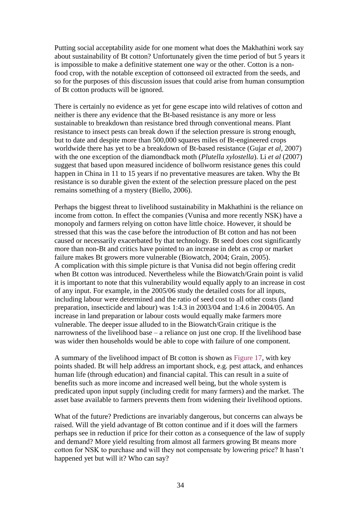Putting social acceptability aside for one moment what does the Makhathini work say about sustainability of Bt cotton? Unfortunately given the time period of but 5 years it is impossible to make a definitive statement one way or the other. Cotton is a nonfood crop, with the notable exception of cottonseed oil extracted from the seeds, and so for the purposes of this discussion issues that could arise from human consumption of Bt cotton products will be ignored.

There is certainly no evidence as yet for gene escape into wild relatives of cotton and neither is there any evidence that the Bt-based resistance is any more or less sustainable to breakdown than resistance bred through conventional means. Plant resistance to insect pests can break down if the selection pressure is strong enough, but to date and despite more than 500,000 squares miles of Bt-engineered crops worldwide there has yet to be a breakdown of Bt-based resistance (Gujar *et al,* 2007) with the one exception of the diamondback moth (*Plutella xylostella*). Li *et al* (2007) suggest that based upon measured incidence of bollworm resistance genes this could happen in China in 11 to 15 years if no preventative measures are taken. Why the Bt resistance is so durable given the extent of the selection pressure placed on the pest remains something of a mystery (Biello, 2006).

Perhaps the biggest threat to livelihood sustainability in Makhathini is the reliance on income from cotton. In effect the companies (Vunisa and more recently NSK) have a monopoly and farmers relying on cotton have little choice. However, it should be stressed that this was the case before the introduction of Bt cotton and has not been caused or necessarily exacerbated by that technology. Bt seed does cost significantly more than non-Bt and critics have pointed to an increase in debt as crop or market failure makes Bt growers more vulnerable (Biowatch, 2004; Grain, 2005). A complication with this simple picture is that Vunisa did not begin offering credit when Bt cotton was introduced. Nevertheless while the Biowatch/Grain point is valid it is important to note that this vulnerability would equally apply to an increase in cost of any input. For example, in the 2005/06 study the detailed costs for all inputs, including labour were determined and the ratio of seed cost to all other costs (land preparation, insecticide and labour) was 1:4.3 in 2003/04 and 1:4.6 in 2004/05. An increase in land preparation or labour costs would equally make farmers more vulnerable. The deeper issue alluded to in the Biowatch/Grain critique is the narrowness of the livelihood base – a reliance on just one crop. If the livelihood base was wider then households would be able to cope with failure of one component.

A summary of the livelihood impact of Bt cotton is shown as Figure 17, with key points shaded. Bt will help address an important shock, e.g. pest attack, and enhances human life (through education) and financial capital. This can result in a suite of benefits such as more income and increased well being, but the whole system is predicated upon input supply (including credit for many farmers) and the market. The asset base available to farmers prevents them from widening their livelihood options.

What of the future? Predictions are invariably dangerous, but concerns can always be raised. Will the yield advantage of Bt cotton continue and if it does will the farmers perhaps see in reduction if price for their cotton as a consequence of the law of supply and demand? More yield resulting from almost all farmers growing Bt means more cotton for NSK to purchase and will they not compensate by lowering price? It hasn"t happened yet but will it? Who can say?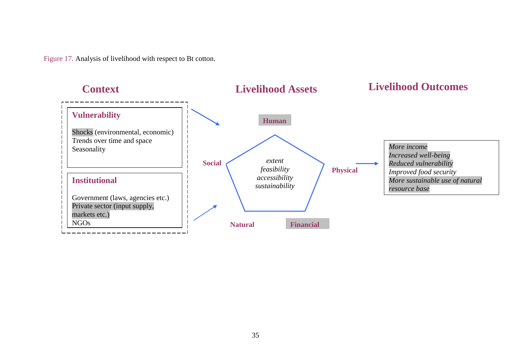Figure 17. Analysis of livelihood with respect to Bt cotton.

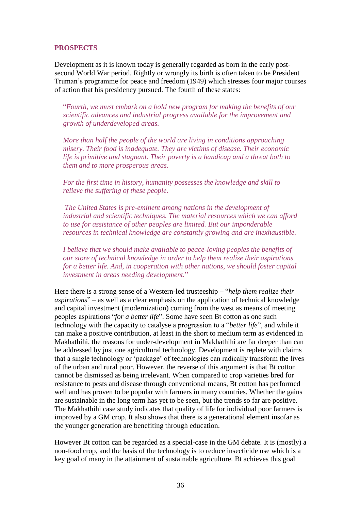#### **PROSPECTS**

Development as it is known today is generally regarded as born in the early postsecond World War period. Rightly or wrongly its birth is often taken to be President Truman"s programme for peace and freedom (1949) which stresses four major courses of action that his presidency pursued. The fourth of these states:

"*Fourth, we must embark on a bold new program for making the benefits of our scientific advances and industrial progress available for the improvement and growth of underdeveloped areas.* 

*More than half the people of the world are living in conditions approaching misery. Their food is inadequate. They are victims of disease. Their economic life is primitive and stagnant. Their poverty is a handicap and a threat both to them and to more prosperous areas.* 

*For the first time in history, humanity possesses the knowledge and skill to relieve the suffering of these people.* 

*The United States is pre-eminent among nations in the development of industrial and scientific techniques. The material resources which we can afford to use for assistance of other peoples are limited. But our imponderable resources in technical knowledge are constantly growing and are inexhaustible.* 

*I believe that we should make available to peace-loving peoples the benefits of our store of technical knowledge in order to help them realize their aspirations for a better life. And, in cooperation with other nations, we should foster capital investment in areas needing development.*"

Here there is a strong sense of a Western-led trusteeship – "*help them realize their aspirations*" – as well as a clear emphasis on the application of technical knowledge and capital investment (modernization) coming from the west as means of meeting peoples aspirations "*for a better life*". Some have seen Bt cotton as one such technology with the capacity to catalyse a progression to a "*better life*", and while it can make a positive contribution, at least in the short to medium term as evidenced in Makhathihi, the reasons for under-development in Makhathihi are far deeper than can be addressed by just one agricultural technology. Development is replete with claims that a single technology or "package" of technologies can radically transform the lives of the urban and rural poor. However, the reverse of this argument is that Bt cotton cannot be dismissed as being irrelevant. When compared to crop varieties bred for resistance to pests and disease through conventional means, Bt cotton has performed well and has proven to be popular with farmers in many countries. Whether the gains are sustainable in the long term has yet to be seen, but the trends so far are positive. The Makhathihi case study indicates that quality of life for individual poor farmers is improved by a GM crop. It also shows that there is a generational element insofar as the younger generation are benefiting through education.

However Bt cotton can be regarded as a special-case in the GM debate. It is (mostly) a non-food crop, and the basis of the technology is to reduce insecticide use which is a key goal of many in the attainment of sustainable agriculture. Bt achieves this goal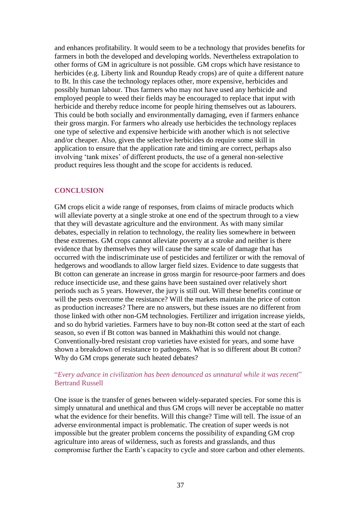and enhances profitability. It would seem to be a technology that provides benefits for farmers in both the developed and developing worlds. Nevertheless extrapolation to other forms of GM in agriculture is not possible. GM crops which have resistance to herbicides (e.g. Liberty link and Roundup Ready crops) are of quite a different nature to Bt. In this case the technology replaces other, more expensive, herbicides and possibly human labour. Thus farmers who may not have used any herbicide and employed people to weed their fields may be encouraged to replace that input with herbicide and thereby reduce income for people hiring themselves out as labourers. This could be both socially and environmentally damaging, even if farmers enhance their gross margin. For farmers who already use herbicides the technology replaces one type of selective and expensive herbicide with another which is not selective and/or cheaper. Also, given the selective herbicides do require some skill in application to ensure that the application rate and timing are correct, perhaps also involving "tank mixes" of different products, the use of a general non-selective product requires less thought and the scope for accidents is reduced.

#### **CONCLUSION**

GM crops elicit a wide range of responses, from claims of miracle products which will alleviate poverty at a single stroke at one end of the spectrum through to a view that they will devastate agriculture and the environment. As with many similar debates, especially in relation to technology, the reality lies somewhere in between these extremes. GM crops cannot alleviate poverty at a stroke and neither is there evidence that by themselves they will cause the same scale of damage that has occurred with the indiscriminate use of pesticides and fertilizer or with the removal of hedgerows and woodlands to allow larger field sizes. Evidence to date suggests that Bt cotton can generate an increase in gross margin for resource-poor farmers and does reduce insecticide use, and these gains have been sustained over relatively short periods such as 5 years. However, the jury is still out. Will these benefits continue or will the pests overcome the resistance? Will the markets maintain the price of cotton as production increases? There are no answers, but these issues are no different from those linked with other non-GM technologies. Fertilizer and irrigation increase yields, and so do hybrid varieties. Farmers have to buy non-Bt cotton seed at the start of each season, so even if Bt cotton was banned in Makhathini this would not change. Conventionally-bred resistant crop varieties have existed for years, and some have shown a breakdown of resistance to pathogens. What is so different about Bt cotton? Why do GM crops generate such heated debates?

#### "*Every advance in civilization has been denounced as unnatural while it was recent*" Bertrand Russell

One issue is the transfer of genes between widely-separated species. For some this is simply unnatural and unethical and thus GM crops will never be acceptable no matter what the evidence for their benefits. Will this change? Time will tell. The issue of an adverse environmental impact is problematic. The creation of super weeds is not impossible but the greater problem concerns the possibility of expanding GM crop agriculture into areas of wilderness, such as forests and grasslands, and thus compromise further the Earth"s capacity to cycle and store carbon and other elements.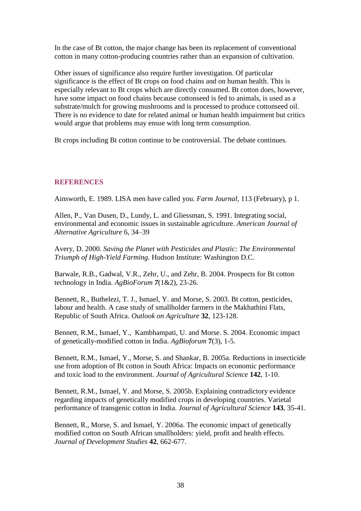In the case of Bt cotton, the major change has been its replacement of conventional cotton in many cotton-producing countries rather than an expansion of cultivation.

Other issues of significance also require further investigation. Of particular significance is the effect of Bt crops on food chains and on human health. This is especially relevant to Bt crops which are directly consumed. Bt cotton does, however, have some impact on food chains because cottonseed is fed to animals, is used as a substrate/mulch for growing mushrooms and is processed to produce cottonseed oil. There is no evidence to date for related animal or human health impairment but critics would argue that problems may ensue with long term consumption.

Bt crops including Bt cotton continue to be controversial. The debate continues.

#### **REFERENCES**

Ainsworth, E. 1989. LISA men have called you. *Farm Journal*, 113 (February), p 1.

Allen, P., Van Dusen, D., Lundy, L. and Gliessman, S. 1991. Integrating social, environmental and economic issues in sustainable agriculture. *American Journal of Alternative Agriculture* 6, 34–39

Avery, D. 2000. *Saving the Planet with Pesticides and Plastic: The Environmental Triumph of High-Yield Farming.* Hudson Institute: Washington D.C.

Barwale, R.B., Gadwal, V.R., Zehr, U., and Zehr, B. 2004. Prospects for Bt cotton technology in India. *AgBioForum 7*(1&2), 23-26.

Bennett, R., Buthelezi, T. J., Ismael, Y. and Morse, S. 2003. Bt cotton, pesticides, labour and health. A case study of smallholder farmers in the Makhathini Flats, Republic of South Africa. *Outlook on Agriculture* **32**, 123-128.

Bennett, R.M., Ismael, Y., Kambhampati, U. and Morse. S. 2004. Economic impact of genetically-modified cotton in India. *AgBioforum* **7**(3), 1-5.

Bennett, R.M., Ismael, Y., Morse, S. and Shankar, B. 2005a. Reductions in insecticide use from adoption of Bt cotton in South Africa: Impacts on economic performance and toxic load to the environment. *Journal of Agricultural Science* **142**, 1-10.

Bennett, R.M., Ismael, Y. and Morse, S. 2005b. Explaining contradictory evidence regarding impacts of genetically modified crops in developing countries. Varietal performance of transgenic cotton in India. *Journal of Agricultural Science* **143**, 35-41.

Bennett, R., Morse, S. and Ismael, Y. 2006a. The economic impact of genetically modified cotton on South African smallholders: yield, profit and health effects. *Journal of Development Studies* **42**, 662-677.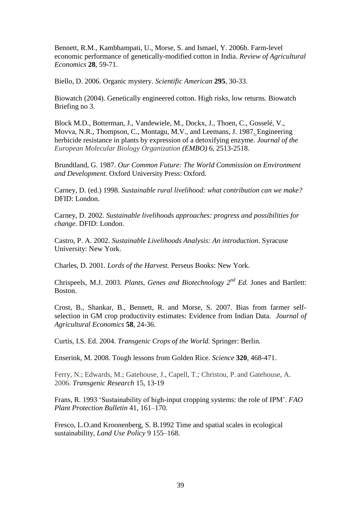Bennett, R.M., Kambhampati, U., Morse, S. and Ismael, Y. 2006b. Farm-level economic performance of genetically-modified cotton in India. *Review of Agricultural Economics* **28**, 59-71.

Biello, D. 2006. Organic mystery. *Scientific American* **295**, 30-33.

Biowatch (2004). Genetically engineered cotton. High risks, low returns. Biowatch Briefing no 3.

Block M.D., Botterman, J., Vandewiele, M., Dockx, J., Thoen, C., Gosselé, V., Movva, N.R., Thompson, C., Montagu, M.V., and Leemans, J. 1987. Engineering herbicide resistance in plants by expression of a detoxifying enzyme. *Journal of the European Molecular Biology Organization (EMBO)* 6, 2513-2518.

Brundtland, G. 1987. *Our Common Future: The World Commission on Environment and Development.* Oxford University Press: Oxford.

Carney, D. (ed.) 1998. *Sustainable rural livelihood: what contribution can we make?* DFID: London.

Carney, D. 2002. *Sustainable livelihoods approaches: progress and possibilities for change*. DFID: London.

Castro, P. A. 2002. *Sustainable Livelihoods Analysis: An introduction*. Syracuse University: New York.

Charles, D. 2001. *Lords of the Harvest.* Perseus Books: New York.

Chrispeels, M.J. 2003. *Plants, Genes and Biotechnology 2nd Ed.* Jones and Bartlett: Boston.

Crost, B., Shankar, B., Bennett, R. and Morse, S. 2007. Bias from farmer selfselection in GM crop productivity estimates: Evidence from Indian Data. *Journal of Agricultural Economics* **58**, 24-36.

Curtis, I.S. Ed. 2004. *Transgenic Crops of the World.* Springer: Berlin.

Enserink, M. 2008. Tough lessons from Golden Rice. *Science* **320**, 468-471.

Ferry, N.; Edwards, M.; Gatehouse, J., Capell, T.; Christou, P. and Gatehouse, A. 2006. *[Transgenic Research](http://www.ingentaconnect.com/content/klu/trag)* 15, 13-19

Frans, R. 1993 "Sustainability of high-input cropping systems: the role of IPM". *FAO Plant Protection Bulletin* 41, 161–170.

Fresco, L.O.and Kroonenberg, S. B.1992 Time and spatial scales in ecological sustainability, *Land Use Policy* 9 155–168.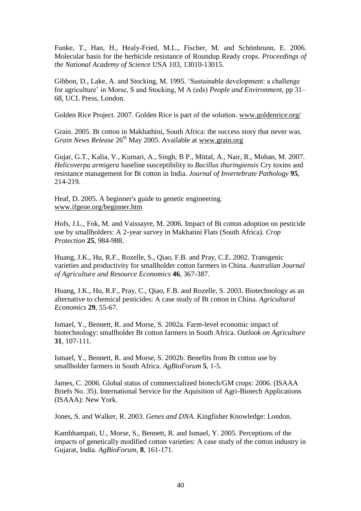Funke, T., Han, H., Healy-Fried, M.L., Fischer, M. and Schönbrunn, E. 2006. Molecular basis for the herbicide resistance of Roundup Ready crops. *Proceedings of the National Academy of Science* USA 103, 13010-13015.

Gibbon, D., Lake, A. and Stocking, M. 1995. "Sustainable development: a challenge for agriculture" in Morse, S and Stocking, M A (eds) *People and Environment*, pp 31– 68, UCL Press, London.

Golden Rice Project. 2007. Golden Rice is part of the solution. [www.goldenrice.org/](http://www.goldenrice.org/)

Grain. 2005. Bt cotton in Makhathini, South Africa: the success story that never was. *Grain News Release* 26<sup>th</sup> May 2005. Available at [www.grain.org](http://www.grain.org/)

Gujar, G.T., Kalia, V., Kumari, A., Singh, B P., Mittal, A., Nair, R., Mohan, M. 2007. *Helicoverpa armigera* baseline susceptibility to *Bacillus thuringiensis* Cry toxins and resistance management for Bt cotton in India. *Journal of Invertebrate Pathology* **95**, 214-219.

Heaf, D. 2005. A beginner's guide to genetic engineering*.*  [www.ifgene.org/beginner.htm](http://www.ifgene.org/beginner.htm)

Hofs, J.L., Fok, M. and Vaissayre, M. 2006. Impact of Bt cotton adoption on pesticide use by smallholders: A 2-year survey in Makhatini Flats (South Africa). *Crop Protection* **25**, 984-988.

Huang, J.K., Hu, R.F., Rozelle, S., Qiao, F.B. and Pray, C.E. 2002. Transgenic varieties and productivity for smallholder cotton farmers in China. *Australian Journal of Agriculture and Resource Economics* **46**, 367-387.

Huang, J.K., Hu, R.F., Pray, C., Qiao, F.B. and Rozelle, S. 2003. Biotechnology as an alternative to chemical pesticides: A case study of Bt cotton in China. *Agricultural Economics* **29**, 55-67.

Ismael, Y., Bennett, R. and Morse, S. 2002a. Farm-level economic impact of biotechnology: smallholder Bt cotton farmers in South Africa. *Outlook on Agriculture* **31**, 107-111.

Ismael, Y., Bennett, R. and Morse, S. 2002b. Benefits from Bt cotton use by smallholder farmers in South Africa. *AgBioForum* **5**, 1-5.

James, C. 2006. Global status of commercialized biotech/GM crops: 2006. (ISAAA Briefs No. 35). International Service for the Aquisition of Agri-Biotech Applications (ISAAA): New York.

Jones, S. and Walker, R. 2003. *Genes and DNA*. Kingfisher Knowledge: London.

Kambhampati, U., Morse, S., Bennett, R. and Ismael, Y. 2005. Perceptions of the impacts of genetically modified cotton varieties: A case study of the cotton industry in Gujarat, India. *AgBioForum*, **8**, 161-171.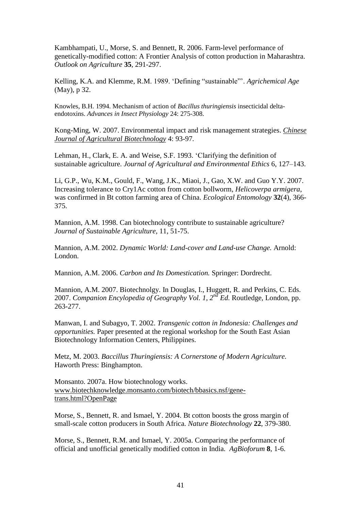Kambhampati, U., Morse, S. and Bennett, R. 2006. Farm-level performance of genetically-modified cotton: A Frontier Analysis of cotton production in Maharashtra. *Outlook on Agriculture* **35**, 291-297.

Kelling, K.A. and Klemme, R.M. 1989. "Defining "sustainable"". *Agrichemical Age* (May), p 32.

Knowles, B.H. 1994. Mechanism of action of *Bacillus thuringiensis* insecticidal deltaendotoxins. *Advances in Insect Physiology* 24: 275-308.

Kong-Ming, W. 2007. Environmental impact and risk management strategies. *[Chinese](http://journals.cambridge.org/action/displayAbstract;jsessionid=44D5A7D2F292F9591BFA7A9092DC418D.tomcat1?fromPage=online&aid=1278148##)  [Journal of Agricultural Biotechnology](http://journals.cambridge.org/action/displayAbstract;jsessionid=44D5A7D2F292F9591BFA7A9092DC418D.tomcat1?fromPage=online&aid=1278148##)* 4: 93-97*.*

Lehman, H., Clark, E. A. and Weise, S.F. 1993. "Clarifying the definition of sustainable agriculture. *Journal of Agricultural and Environmental Ethics* 6, 127–143.

Li, [G.P.](http://apps.isiknowledge.com/WoS/CIW.cgi?SID=T1iloL6D9cFDLemNeNk&Func=OneClickSearch&field=AU&val=Li+GP&ut=000248886100005&auloc=1&fullauth=%20(Li,%20Guo-Ping)&curr_doc=1/8&Form=FullRecordPage&doc=1/8), [Wu, K.M.](http://apps.isiknowledge.com/WoS/CIW.cgi?SID=T1iloL6D9cFDLemNeNk&Func=OneClickSearch&field=AU&val=Wu+KM&ut=000248886100005&auloc=2&fullauth=%20(Wu,%20Kong-Ming)&curr_doc=1/8&Form=FullRecordPage&doc=1/8), [Gould,](http://apps.isiknowledge.com/WoS/CIW.cgi?SID=T1iloL6D9cFDLemNeNk&Func=OneClickSearch&field=AU&val=Gould+F&ut=000248886100005&auloc=3&fullauth=%20(Gould,%20Fred)&curr_doc=1/8&Form=FullRecordPage&doc=1/8) F., [Wang,](http://apps.isiknowledge.com/WoS/CIW.cgi?SID=T1iloL6D9cFDLemNeNk&Func=OneClickSearch&field=AU&val=Wang+JK&ut=000248886100005&auloc=4&fullauth=%20(Wang,%20Jian-Kang)&curr_doc=1/8&Form=FullRecordPage&doc=1/8) J.K., [Miaoi,](http://apps.isiknowledge.com/WoS/CIW.cgi?SID=T1iloL6D9cFDLemNeNk&Func=OneClickSearch&field=AU&val=Miaoi+J&ut=000248886100005&auloc=5&fullauth=%20(Miaoi,%20Jin)&curr_doc=1/8&Form=FullRecordPage&doc=1/8) J., [Gao,](http://apps.isiknowledge.com/WoS/CIW.cgi?SID=T1iloL6D9cFDLemNeNk&Func=OneClickSearch&field=AU&val=Gao+XW&ut=000248886100005&auloc=6&fullauth=%20(Gao,%20Xi-Wu)&curr_doc=1/8&Form=FullRecordPage&doc=1/8) X.W. and [Guo Y.Y.](http://apps.isiknowledge.com/WoS/CIW.cgi?SID=T1iloL6D9cFDLemNeNk&Func=OneClickSearch&field=AU&val=Guo+YY&ut=000248886100005&auloc=7&fullauth=%20(Guo,%20Yu-Yuan)&curr_doc=1/8&Form=FullRecordPage&doc=1/8) 2007. Increasing tolerance to Cry1Ac cotton from cotton bollworm, *Helicoverpa armigera*, was confirmed in Bt cotton farming area of China. *Ecological Entomology* **32**(4), 366- 375.

Mannion, A.M. 1998. Can biotechnology contribute to sustainable agriculture? *Journal of Sustainable Agriculture*, 11, 51-75.

Mannion, A.M. 2002. *Dynamic World: Land-cover and Land-use Change.* Arnold: London.

Mannion, A.M. 2006. *Carbon and Its Domestication.* Springer: Dordrecht.

Mannion, A.M. 2007. Biotechnolgy. In Douglas, I., Huggett, R. and Perkins, C. Eds. 2007. *Companion Encylopedia of Geography Vol. 1, 2nd Ed.* Routledge, London, pp. 263-277.

Manwan, I. and Subagyo, T. 2002. *Transgenic cotton in Indonesia: Challenges and opportunities.* Paper presented at the regional workshop for the South East Asian Biotechnology Information Centers, Philippines.

Metz, M. 2003. *Baccillus Thuringiensis: A Cornerstone of Modern Agriculture.*  Haworth Press: Binghampton.

Monsanto. 2007a. How biotechnology works. [www.biotechknowledge.monsanto.com/biotech/bbasics.nsf/gene](http://www.biotechknowledge.monsanto.com/biotech/bbasics.nsf/gene-trans.html?OpenPage)[trans.html?OpenPage](http://www.biotechknowledge.monsanto.com/biotech/bbasics.nsf/gene-trans.html?OpenPage)

Morse, S., Bennett, R. and Ismael, Y. 2004. Bt cotton boosts the gross margin of small-scale cotton producers in South Africa. *Nature Biotechnology* **22**, 379-380.

Morse, S., Bennett, R.M. and Ismael, Y. 2005a. Comparing the performance of official and unofficial genetically modified cotton in India. *AgBioforum* **8**, 1-6.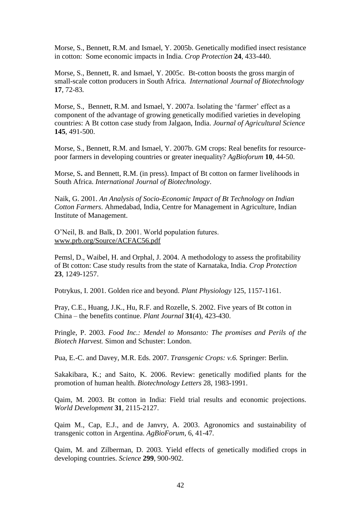Morse, S., Bennett, R.M. and Ismael, Y. 2005b. Genetically modified insect resistance in cotton: Some economic impacts in India. *Crop Protection* **24**, 433-440.

Morse, S., Bennett, R. and Ismael, Y. 2005c. Bt-cotton boosts the gross margin of small-scale cotton producers in South Africa. *International Journal of Biotechnology*  **17**, 72-83*.*

Morse, S., Bennett, R.M. and Ismael, Y. 2007a. Isolating the 'farmer' effect as a component of the advantage of growing genetically modified varieties in developing countries: A Bt cotton case study from Jalgaon, India. *Journal of Agricultural Science* **145**, 491-500.

Morse, S., Bennett, R.M. and Ismael, Y. 2007b. GM crops: Real benefits for resourcepoor farmers in developing countries or greater inequality? *AgBioforum* **10**, 44-50.

Morse, S**.** and Bennett, R.M. (in press). Impact of Bt cotton on farmer livelihoods in South Africa. *International Journal of Biotechnology*.

Naik, G. 2001. *An Analysis of Socio-Economic Impact of Bt Technology on Indian Cotton Farmers*. Ahmedabad, India, Centre for Management in Agriculture, Indian Institute of Management.

O"Neil, B. and Balk, D. 2001. World population futures. [www.prb.org/Source/ACFAC56.pdf](http://www.prb.org/Source/ACFAC56.pdf)

Pemsl, D., Waibel, H. and Orphal, J. 2004. A methodology to assess the profitability of Bt cotton: Case study results from the state of Karnataka, India. *Crop Protection* **23**, 1249-1257.

Potrykus, I. 2001. Golden rice and beyond. *Plant Physiology* 125, 1157-1161.

Pray, C.E., Huang, J.K., Hu, R.F. and Rozelle, S. 2002. Five years of Bt cotton in China – the benefits continue. *Plant Journal* **31**(4), 423-430.

Pringle, P. 2003. *Food Inc.: Mendel to Monsanto: The promises and Perils of the Biotech Harvest.* Simon and Schuster: London.

Pua, E.-C. and Davey, M.R. Eds. 2007. *Transgenic Crops: v.6.* Springer: Berlin.

Sakakibara, K.; and Saito, K. 2006. Review: genetically modified plants for the promotion of human health. *Biotechnology Letters* 28, 1983-1991.

Qaim, M. 2003. Bt cotton in India: Field trial results and economic projections. *World Development* **31**, 2115-2127.

Qaim M., Cap, E.J., and de Janvry, A. 2003. Agronomics and sustainability of transgenic cotton in Argentina. *AgBioForum*, 6, 41-47.

Qaim, M. and Zilberman, D. 2003. Yield effects of genetically modified crops in developing countries. *Science* **299**, 900-902.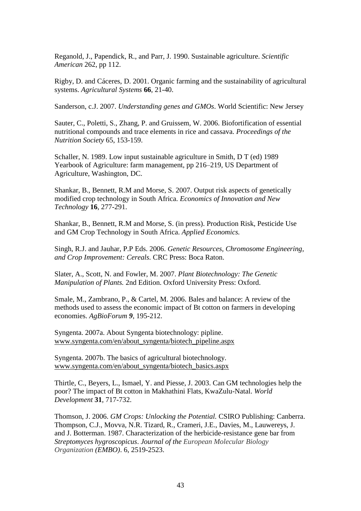Reganold, J., Papendick, R., and Parr, J. 1990. Sustainable agriculture. *Scientific American* 262, pp 112.

Rigby, D. and Cáceres, D. 2001. Organic farming and the sustainability of agricultural systems. *Agricultural Systems* **66**, 21-40.

Sanderson, c.J. 2007. *Understanding genes and GMOs*. World Scientific: New Jersey

Sauter, C., Poletti, S., Zhang, P. and Gruissem, W. 2006. Biofortification of essential nutritional compounds and trace elements in rice and cassava. *[Proceedings of the](http://www.ingentaconnect.com/content/cabi/pns)  [Nutrition Society](http://www.ingentaconnect.com/content/cabi/pns)* 65, 153-159.

Schaller, N. 1989. Low input sustainable agriculture in Smith, D T (ed) 1989 Yearbook of Agriculture: farm management, pp 216–219, US Department of Agriculture, Washington, DC.

Shankar, B., Bennett, R.M and Morse, S. 2007. Output risk aspects of genetically modified crop technology in South Africa. *Economics of Innovation and New Technology* **16**, 277-291.

Shankar, B., Bennett, R.M and Morse, S. (in press). Production Risk, Pesticide Use and GM Crop Technology in South Africa. *Applied Economics.*

Singh, R.J. and Jauhar, P.P Eds. 2006. *[Genetic Resources, Chromosome Engineering,](http://books.google.com/books?hl=en&lr=&id=H_bypDZAX5QC&oi=fnd&pg=PA1&dq=Genetic+Resources,+Chromosome+Engineering,+and+Crop+Improvement:+Cereals:+2+(Genetic+Resources+Chromosome+Engineering+%26+Crop+Improvement)+(Hardcover)+&ots=gPR54e6Mwz&sig=uEwEGR2QSK39-DEyNusJKdK4JCs)  [and Crop Improvement: Cereals.](http://books.google.com/books?hl=en&lr=&id=H_bypDZAX5QC&oi=fnd&pg=PA1&dq=Genetic+Resources,+Chromosome+Engineering,+and+Crop+Improvement:+Cereals:+2+(Genetic+Resources+Chromosome+Engineering+%26+Crop+Improvement)+(Hardcover)+&ots=gPR54e6Mwz&sig=uEwEGR2QSK39-DEyNusJKdK4JCs)* CRC Press: Boca Raton.

Slater, A., Scott, N. and Fowler, M. 2007. *Plant Biotechnology: The Genetic Manipulation of Plants.* 2nd Edition. Oxford University Press: Oxford.

Smale, M., Zambrano, P., & Cartel, M. 2006. Bales and balance: A review of the methods used to assess the economic impact of Bt cotton on farmers in developing economies. *AgBioForum 9*, 195-212.

Syngenta. 2007a. About Syngenta biotechnology: pipline. [www.syngenta.com/en/about\\_syngenta/biotech\\_pipeline.aspx](http://www.syngenta.com/en/about_syngenta/biotech_pipeline.aspx)

Syngenta. 2007b. The basics of agricultural biotechnology. [www.syngenta.com/en/about\\_syngenta/biotech\\_basics.aspx](http://www.syngenta.com/en/about_syngenta/biotech_basics.aspx)

Thirtle, C., Beyers, L., Ismael, Y. and Piesse, J. 2003. Can GM technologies help the poor? The impact of Bt cotton in Makhathini Flats, KwaZulu-Natal. *World Development* **31**, 717-732.

Thomson, J. 2006. *GM Crops: Unlocking the Potential.* CSIRO Publishing: Canberra. Thompson, C.J., Movva, N.R. Tizard, R., Crameri, J.E., Davies, M., Lauwereys, J. and J. Botterman. 1987. Characterization of the herbicide-resistance gene bar from *Streptomyces hygroscopicus*. *Journal of the European Molecular Biology Organization (EMBO)*. 6, 2519-2523.